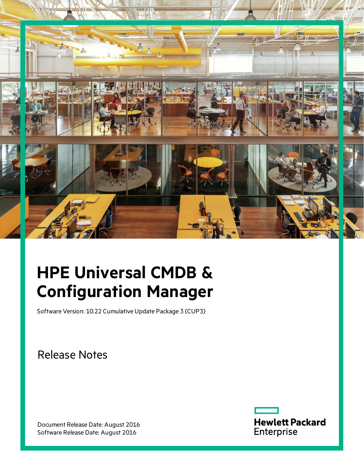

# **HPE Universal CMDB & Configuration Manager**

Software Version: 10.22 Cumulative Update Package 3 (CUP3)

Release Notes

Document Release Date: August 2016 Software Release Date: August 2016

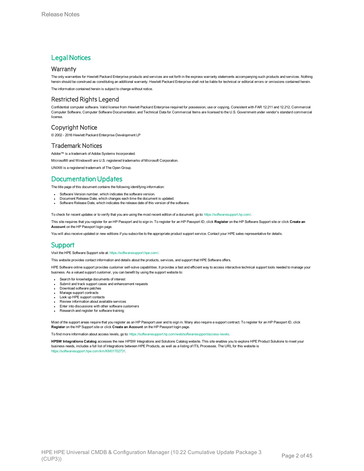#### **Legal Notices**

#### **Warranty**

The only warranties for Hewlett Packard Enterprise products and services are set forth in the express warranty statements accompanying such products and services. Nothing herein should be construed as constituting an additional warranty. Hewlett Packard Enterprise shall not be liable for technical or editorial errors or omissions contained herein.

The information contained herein is subject to change without notice.

#### Restricted Rights Legend

Confidential computer software. Valid license from Hewlett Packard Enterprise required for possession, use or copying. Consistent with FAR 12.211 and 12.212, Commercial Computer Software, Computer Software Documentation, and Technical Data for Commercial Items are licensed to the U.S. Government under vendor's standard commercial license.

#### Copyright Notice

© 2002 - 2016 Hewlett Packard Enterprise Development LP

#### Trademark Notices

Adobe™ is a trademark of Adobe Systems Incorporated.

Microsoft® and Windows® are U.S. registered trademarks of Microsoft Corporation.

UNIX® is a registered trademark of The Open Group.

### Documentation Updates

The title page of this document contains the following identifying information:

- Software Version number, which indicates the software version.
- <sup>l</sup> Document Release Date, which changes each time the document is updated.
- Software Release Date, which indicates the release date of this version of the software.

To check for recent updates or to verify that you are using the most recent edition of a document, go to: <https://softwaresupport.hp.com/>.

This site requires that you register for an HP Passport and to sign in. To register for an HP Passport ID, click **Register** on the HP Software Support site or click **Create an Account** on the HP Passport login page.

You will also receive updated or new editions if you subscribe to the appropriate product support service. Contact your HPE sales representative for details.

#### **Support**

#### Visit the HPE Software Support site at: <https://softwaresupport.hpe.com/>.

This website provides contact information and details about the products, services, and support that HPE Software offers.

HPE Software online support provides customer self-solve capabilities. It provides a fast and efficient way to access interactive technical support tools needed to manage your business. As a valued support customer, you can benefit by using the support website to:

- Search for knowledge documents of interest
- Submit and track support cases and enhancement requests
- Download software patches Manage support contracts
- Look up HPE support contacts
- Review information about available services
- Enter into discussions with other software customers
- Research and register for software training

Most of the support areas require that you register as an HP Passport user and to sign in. Many also require a support contract. To register for an HP Passport ID, click **Register** on the HP Support site or click **Create an Account** on the HP Passport login page.

To find more information about access levels, go to: [https://softwaresupport.hp.com/web/softwaresupport/access-levels.](https://softwaresupport.hp.com/web/softwaresupport/access-levels)

**HPSW Integrations Catalog** accesses the new HPSW Integrations and Solutions Catalog website. This site enables you to explore HPE Product Solutions to meet your business needs, includes a full list of Integrations between HPE Products, as well as a listing of ITIL Processes. The URL for this website is [https://softwaresupport.hpe.com/km/KM01702731.](https://softwaresupport.hpe.com/km/KM01702731)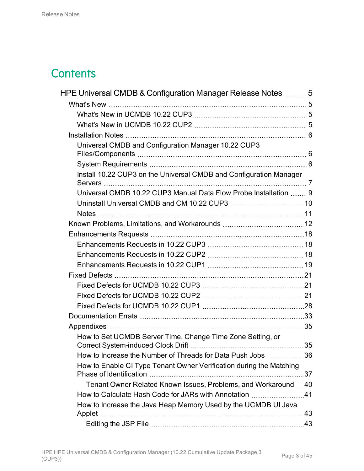# **Contents**

| HPE Universal CMDB & Configuration Manager Release Notes  5         |  |
|---------------------------------------------------------------------|--|
|                                                                     |  |
|                                                                     |  |
|                                                                     |  |
|                                                                     |  |
| Universal CMDB and Configuration Manager 10.22 CUP3                 |  |
|                                                                     |  |
| Install 10.22 CUP3 on the Universal CMDB and Configuration Manager  |  |
| Universal CMDB 10.22 CUP3 Manual Data Flow Probe Installation  9    |  |
|                                                                     |  |
|                                                                     |  |
|                                                                     |  |
|                                                                     |  |
|                                                                     |  |
|                                                                     |  |
|                                                                     |  |
|                                                                     |  |
|                                                                     |  |
|                                                                     |  |
|                                                                     |  |
|                                                                     |  |
|                                                                     |  |
| How to Set UCMDB Server Time, Change Time Zone Setting, or          |  |
| How to Increase the Number of Threads for Data Push Jobs 36         |  |
| How to Enable CI Type Tenant Owner Verification during the Matching |  |
| Tenant Owner Related Known Issues, Problems, and Workaround 40      |  |
| How to Calculate Hash Code for JARs with Annotation 41              |  |
| How to Increase the Java Heap Memory Used by the UCMDB UI Java      |  |
|                                                                     |  |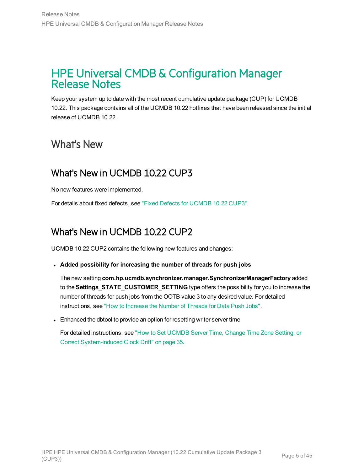## <span id="page-4-0"></span>HPE Universal CMDB & Configuration Manager Release Notes

Keep your system up to date with the most recent cumulative update package (CUP) for UCMDB 10.22. This package contains all of the UCMDB 10.22 hotfixes that have been released since the initial release of UCMDB 10.22.

## <span id="page-4-2"></span><span id="page-4-1"></span>What's New

## What's New in UCMDB 10.22 CUP3

No new features were implemented.

<span id="page-4-3"></span>For details about fixed defects, see "Fixed Defects for [UCMDB](#page-20-1) 10.22 CUP3".

## What's New in UCMDB 10.22 CUP2

UCMDB 10.22 CUP2 contains the following new features and changes:

<sup>l</sup> **Added possibility for increasing the number of threads for push jobs**

The new setting **com.hp.ucmdb.synchronizer.manager.SynchronizerManagerFactory** added to the **Settings\_STATE\_CUSTOMER\_SETTING** type offers the possibility for you to increase the number of threads for push jobs from the OOTB value 3 to any desired value. For detailed instructions, see "How to [Increase](#page-35-0) the Number of Threads for Data Push Jobs".

• Enhanced the dbtool to provide an option for resetting writer server time

For detailed instructions, see "How to Set [UCMDB](#page-34-1) Server Time, Change Time Zone Setting, or Correct [System-induced](#page-34-1) Clock Drift" on page 35.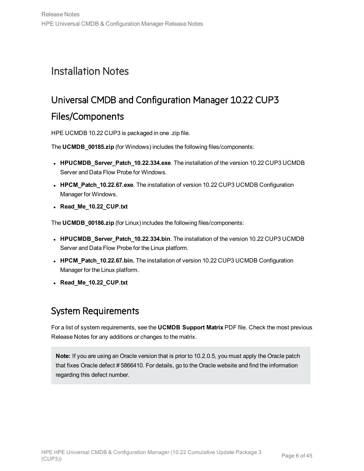## <span id="page-5-1"></span><span id="page-5-0"></span>Installation Notes

# Universal CMDB and Configuration Manager 10.22 CUP3

### Files/Components

HPE UCMDB 10.22 CUP3 is packaged in one .zip file.

The **UCMDB\_00185.zip** (for Windows) includes the following files/components:

- **HPUCMDB\_Server\_Patch\_10.22.334.exe**. The installation of the version 10.22 CUP3 UCMDB Server and Data Flow Probe for Windows.
- **HPCM\_Patch\_10.22.67.exe**. The installation of version 10.22 CUP3 UCMDB Configuration Manager for Windows.
- **Read Me 10.22 CUP.txt**

The **UCMDB\_00186.zip** (for Linux) includes the following files/components:

- **HPUCMDB\_Server\_Patch\_10.22.334.bin**. The installation of the version 10.22 CUP3 UCMDB Server and Data Flow Probe for the Linux platform.
- **HPCM\_Patch\_10.22.67.bin.** The installation of version 10.22 CUP3 UCMDB Configuration Manager for the Linux platform.
- <span id="page-5-2"></span><sup>l</sup> **Read\_Me\_10.22\_CUP.txt**

## System Requirements

For a list of system requirements, see the **UCMDB Support Matrix** PDF file. Check the most previous Release Notes for any additions or changes to the matrix.

**Note:** If you are using an Oracle version that is prior to 10.2.0.5, you must apply the Oracle patch that fixes Oracle defect # 5866410. For details, go to the Oracle website and find the information regarding this defect number.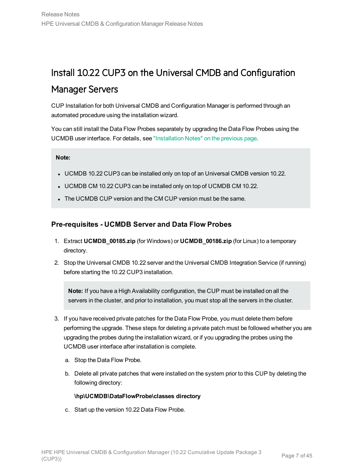## <span id="page-6-0"></span>Install 10.22 CUP3 on the Universal CMDB and Configuration

## Manager Servers

CUP Installation for both Universal CMDB and Configuration Manager is performed through an automated procedure using the installation wizard.

You can still install the Data Flow Probes separately by upgrading the Data Flow Probes using the UCMDB user interface. For details, see ["Installation](#page-5-0) Notes" on the previous page.

#### **Note:**

- UCMDB 10.22 CUP3 can be installed only on top of an Universal CMDB version 10.22.
- UCMDB CM 10.22 CUP3 can be installed only on top of UCMDB CM 10.22.
- The UCMDB CUP version and the CM CUP version must be the same.

### <span id="page-6-1"></span>**Pre-requisites - UCMDB Server and Data Flow Probes**

- 1. Extract **UCMDB\_00185.zip** (for Windows) or **UCMDB\_00186.zip** (for Linux) to a temporary directory.
- 2. Stop the Universal CMDB 10.22 server and the Universal CMDB Integration Service (if running) before starting the 10.22 CUP3 installation.

**Note:** If you have a High Availability configuration, the CUP must be installed on all the servers in the cluster, and prior to installation, you must stop all the servers in the cluster.

- 3. If you have received private patches for the Data Flow Probe, you must delete them before performing the upgrade. These steps for deleting a private patch must be followed whether you are upgrading the probes during the installation wizard, or if you upgrading the probes using the UCMDB user interface after installation is complete.
	- a. Stop the Data Flow Probe.
	- b. Delete all private patches that were installed on the system prior to this CUP by deleting the following directory:

#### **\hp\UCMDB\DataFlowProbe\classes directory**

c. Start up the version 10.22 Data Flow Probe.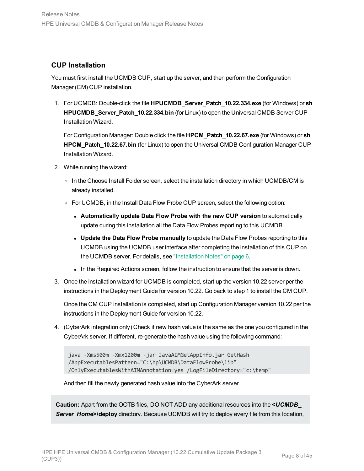### **CUP Installation**

You must first install the UCMDB CUP, start up the server, and then perform the Configuration Manager (CM) CUP installation.

1. For UCMDB: Double-click the file **HPUCMDB\_Server\_Patch\_10.22.334.exe** (for Windows) or **sh HPUCMDB Server Patch 10.22.334.bin** (for Linux) to open the Universal CMDB Server CUP Installation Wizard.

For Configuration Manager: Double click the file **HPCM\_Patch\_10.22.67.exe** (for Windows) or **sh HPCM\_Patch\_10.22.67.bin** (for Linux) to open the Universal CMDB Configuration Manager CUP Installation Wizard.

- 2. While running the wizard:
	- $\circ$  In the Choose Install Folder screen, select the installation directory in which UCMDB/CM is already installed.
	- <sup>o</sup> For UCMDB, in the Install Data Flow Probe CUP screen, select the following option:
		- <sup>l</sup> **Automatically update Data Flow Probe with the new CUP version** to automatically update during this installation all the Data Flow Probes reporting to this UCMDB.
		- <sup>l</sup> **Update the Data Flow Probe manually** to update the Data Flow Probes reporting to this UCMDB using the UCMDB user interface after completing the installation of this CUP on the UCMDB server. For details, see ["Installation](#page-5-0) Notes" on page 6.
		- In the Required Actions screen, follow the instruction to ensure that the server is down.
- 3. Once the installation wizard for UCMDB is completed, start up the version 10.22 server per the instructions in the Deployment Guide for version 10.22. Go back to step 1 to install the CM CUP.

Once the CM CUP installation is completed, start up Configuration Manager version 10.22 per the instructions in the Deployment Guide for version 10.22.

4. (CyberArk integration only) Check if new hash value is the same as the one you configured in the CyberArk server. If different, re-generate the hash value using the following command:

```
java -Xms500m -Xmx1200m -jar JavaAIMGetAppInfo.jar GetHash
/AppExecutablesPattern="C:\hp\UCMDB\DataFlowProbe\lib"
/OnlyExecutablesWithAIMAnnotation=yes /LogFileDirectory="c:\temp"
```
And then fill the newly generated hash value into the CyberArk server.

<span id="page-7-0"></span>**Caution:** Apart from the OOTB files, DO NOT ADD any additional resources into the **<***UCMDB\_* **Server\_Home>\deploy** directory. Because UCMDB will try to deploy every file from this location,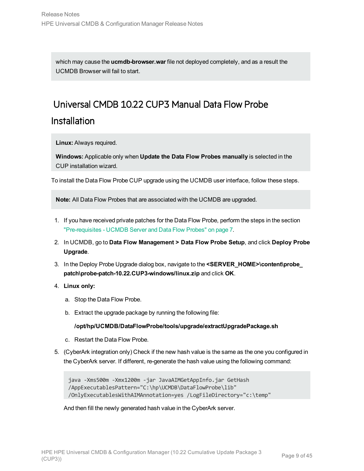which may cause the **ucmdb-browser.war** file not deployed completely, and as a result the UCMDB Browser will fail to start.

# <span id="page-8-0"></span>Universal CMDB 10.22 CUP3 Manual Data Flow Probe **Installation**

**Linux:** Always required.

**Windows:** Applicable only when **Update the Data Flow Probes manually** is selected in the CUP installation wizard.

To install the Data Flow Probe CUP upgrade using the UCMDB user interface, follow these steps.

**Note:** All Data Flow Probes that are associated with the UCMDB are upgraded.

- 1. If you have received private patches for the Data Flow Probe, perform the steps in the section ["Pre-requisites](#page-6-1) - UCMDB Server and Data Flow Probes" on page 7.
- 2. In UCMDB, go to **Data Flow Management > Data Flow Probe Setup**, and click **Deploy Probe Upgrade**.
- 3. In the Deploy Probe Upgrade dialog box, navigate to the **<SERVER\_HOME>\content\probe\_ patch\probe-patch-10.22.CUP3-windows/linux.zip** and click **OK**.
- 4. **Linux only:**
	- a. Stop the Data Flow Probe.
	- b. Extract the upgrade package by running the following file:

**/opt/hp/UCMDB/DataFlowProbe/tools/upgrade/extractUpgradePackage.sh**

- c. Restart the Data Flow Probe.
- 5. (CyberArk integration only) Check if the new hash value is the same as the one you configured in the CyberArk server. If different, re-generate the hash value using the following command:

```
java -Xms500m -Xmx1200m -jar JavaAIMGetAppInfo.jar GetHash
/AppExecutablesPattern="C:\hp\UCMDB\DataFlowProbe\lib"
/OnlyExecutablesWithAIMAnnotation=yes /LogFileDirectory="c:\temp"
```
And then fill the newly generated hash value in the CyberArk server.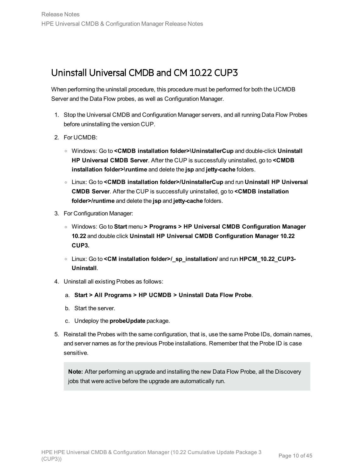## <span id="page-9-0"></span>Uninstall Universal CMDB and CM 10.22 CUP3

When performing the uninstall procedure, this procedure must be performed for both the UCMDB Server and the Data Flow probes, as well as Configuration Manager.

- 1. Stop the Universal CMDB and Configuration Manager servers, and all running Data Flow Probes before uninstalling the version CUP.
- 2. For UCMDB:
	- <sup>o</sup> Windows: Go to **<CMDB installation folder>\UninstallerCup** and double-click **Uninstall HP Universal CMDB Server**. After the CUP is successfully uninstalled, go to **<CMDB installation folder>\runtime** and delete the **jsp** and **jetty-cache** folders.
	- <sup>o</sup> Linux: Go to **<CMDB installation folder>/UninstallerCup** and run **Uninstall HP Universal CMDB Server**. After the CUP is successfully uninstalled, go to **<CMDB installation folder>/runtime** and delete the **jsp** and **jetty-cache** folders.
- 3. For Configuration Manager:
	- <sup>o</sup> Windows: Go to **Start** menu **> Programs > HP Universal CMDB Configuration Manager 10.22** and double click **Uninstall HP Universal CMDB Configuration Manager 10.22 CUP3.**
	- <sup>o</sup> Linux: Go to **<CM installation folder>/\_sp\_installation/** and run **HPCM\_10.22\_CUP3- Uninstall**.
- 4. Uninstall all existing Probes as follows:
	- a. **Start > All Programs > HP UCMDB > Uninstall Data Flow Probe**.
	- b. Start the server.
	- c. Undeploy the **probeUpdate** package.
- 5. Reinstall the Probes with the same configuration, that is, use the same Probe IDs, domain names, and server names as for the previous Probe installations. Remember that the Probe ID is case sensitive.

**Note:** After performing an upgrade and installing the new Data Flow Probe, all the Discovery jobs that were active before the upgrade are automatically run.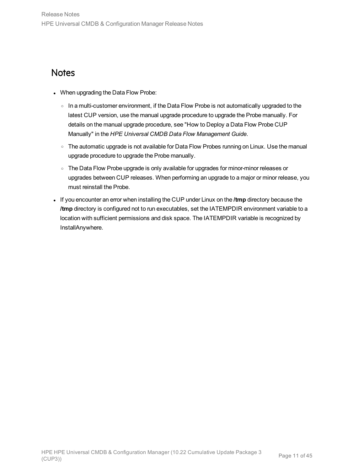## <span id="page-10-0"></span>**Notes**

- When upgrading the Data Flow Probe:
	- $\circ$  In a multi-customer environment, if the Data Flow Probe is not automatically upgraded to the latest CUP version, use the manual upgrade procedure to upgrade the Probe manually. For details on the manual upgrade procedure, see "How to Deploy a Data Flow Probe CUP Manually" in the *HPE Universal CMDB Data Flow Management Guide*.
	- The automatic upgrade is not available for Data Flow Probes running on Linux. Use the manual upgrade procedure to upgrade the Probe manually.
	- o The Data Flow Probe upgrade is only available for upgrades for minor-minor releases or upgrades between CUP releases. When performing an upgrade to a major or minor release, you must reinstall the Probe.
- <sup>l</sup> If you encounter an error when installing the CUP under Linux on the **/tmp** directory because the **/tmp** directory is configured not to run executables, set the IATEMPDIR environment variable to a location with sufficient permissions and disk space. The IATEMPDIR variable is recognized by InstallAnywhere.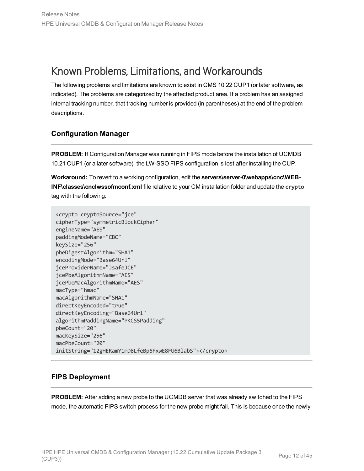# <span id="page-11-0"></span>Known Problems, Limitations, and Workarounds

The following problems and limitations are known to exist in CMS 10.22 CUP1 (or later software, as indicated). The problems are categorized by the affected product area. If a problem has an assigned internal tracking number, that tracking number is provided (in parentheses) at the end of the problem descriptions.

### **Configuration Manager**

**PROBLEM:** If Configuration Manager was running in FIPS mode before the installation of UCMDB 10.21 CUP1 (or a later software), the LW-SSO FIPS configuration is lost after installing the CUP.

**Workaround:** To revert to a working configuration, edit the **servers\server-0\webapps\cnc\WEB-INF\classes\cnclwssofmconf.xml** file relative to your CM installation folder and update the **crypto** tag with the following:

```
<crypto cryptoSource="jce"
cipherType="symmetricBlockCipher"
engineName="AES"
paddingModeName="CBC"
keySize="256"
pbeDigestAlgorithm="SHA1"
encodingMode="Base64Url"
jceProviderName="JsafeJCE"
jcePbeAlgorithmName="AES"
jcePbeMacAlgorithmName="AES"
macType="hmac"
macAlgorithmName="SHA1"
directKeyEncoded="true"
directKeyEncoding="Base64Url"
algorithmPaddingName="PKCS5Padding"
pbeCount="20"
macKeySize="256"
macPbeCount="20"
initString="12gHERamY1mD8LfeBp6FxwE8FU6BlabS"></crypto>
```
### **FIPS Deployment**

**PROBLEM:** After adding a new probe to the UCMDB server that was already switched to the FIPS mode, the automatic FIPS switch process for the new probe might fail. This is because once the newly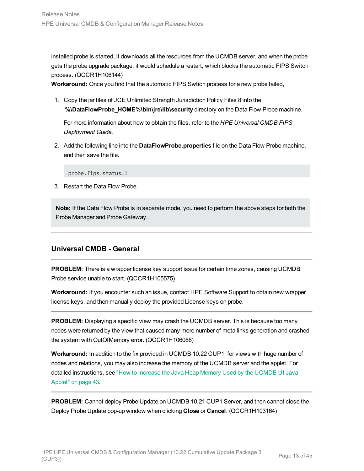installed probe is started, it downloads all the resources from the UCMDB server, and when the probe gets the probe upgrade package, it would schedule a restart, which blocks the automatic FIPS Switch process. (QCCR1H106144)

**Workaround:** Once you find that the automatic FIPS Swtich process for a new probe failed,

1. Copy the jar files of JCE Unlimited Strength Jurisdiction Policy Files 8 into the **%\DataFlowProbe\_HOME%\bin\jre\lib\security** directory on the Data Flow Probe machine.

For more information about how to obtain the files, refer to the *HPE Universal CMDB FIPS Deployment Guide*.

2. Add the following line into the **DataFlowProbe.properties** file on the Data Flow Probe machine, and then save the file.

probe.fips.status=1

3. Restart the Data Flow Probe.

**Note:** If the Data Flow Probe is in separate mode, you need to perform the above steps for both the Probe Manager and Probe Gateway.

### **Universal CMDB - General**

**PROBLEM:** There is a wrapper license key support issue for certain time zones, causing UCMDB Probe service unable to start. (QCCR1H105575)

**Workaround:** If you encounter such an issue, contact HPE Software Support to obtain new wrapper license keys, and then manually deploy the provided License keys on probe.

<span id="page-12-0"></span>**PROBLEM:** Displaying a specific view may crash the UCMDB server. This is because too many nodes were returned by the view that caused many more number of meta links generation and crashed the system with OutOfMemory error. (QCCR1H106088)

**Workaround:** In addition to the fix provided in UCMDB 10.22 CUP1, for views with huge number of nodes and relations, you may also increase the memory of the UCMDB server and the applet. For detailed instructions, see "How to [Increase](#page-42-0) the Java Heap Memory Used by the UCMDB UI Java [Applet"](#page-42-0) on page 43.

**PROBLEM:** Cannot deploy Probe Update on UCMDB 10.21 CUP1 Server, and then cannot close the Deploy Probe Update pop-up window when clicking **Close** or **Cancel**. (QCCR1H103164)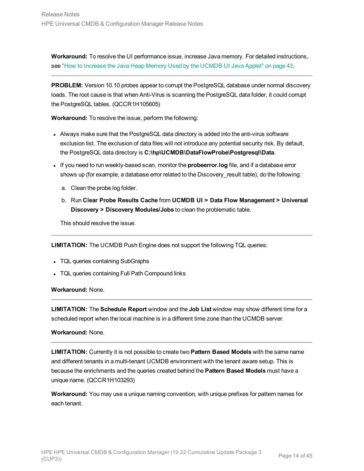**Workaround:** To resolve the UI performance issue, increase Java memory. For detailed instructions, see "How to [Increase](#page-42-0) the Java Heap Memory Used by the UCMDB UI Java Applet" on page 43.

<span id="page-13-0"></span>**PROBLEM:** Version 10.10 probes appear to corrupt the PostgreSQL database under normal discovery loads. The root cause is that when Anti-Virus is scanning the PostgreSQL data folder, it could corrupt the PostgreSQL tables. (QCCR1H105605)

**Workaround:** To resolve the issue, perform the following:

- Always make sure that the PostgreSQL data directory is added into the anti-virus software exclusion list. The exclusion of data files will not introduce any potential security risk. By default, the PostgreSQL data directory is **C:\hp\UCMDB\DataFlowProbe\Postgresql\Data**.
- <sup>l</sup> If you need to run weekly-based scan, monitor the **probeerror.log** file, and if a database error shows up (for example, a database error related to the Discovery\_result table), do the following:
	- a. Clean the probe log folder.
	- b. Run **Clear Probe Results Cache** from **UCMDB UI > Data Flow Management > Universal Discovery > Discovery Modules/Jobs** to clean the problematic table.

This should resolve the issue.

**LIMITATION:** The UCMDB Push Engine does not support the following TQL queries:

- TQL queries containing SubGraphs
- TQL queries containing Full Path Compound links

#### **Workaround:** None.

**LIMITATION:** The **Schedule Report** window and the **Job List** window may show different time for a scheduled report when the local machine is in a different time zone than the UCMDB server.

#### **Workaround:** None.

**LIMITATION:** Currently it is not possible to create two **Pattern Based Models** with the same name and different tenants in a multi-tenant UCMDB environment with the tenant aware setup. This is because the enrichments and the queries created behind the **Pattern Based Models** must have a unique name. (QCCR1H103293)

**Workaround:** You may use a unique naming convention, with unique prefixes for pattern names for each tenant.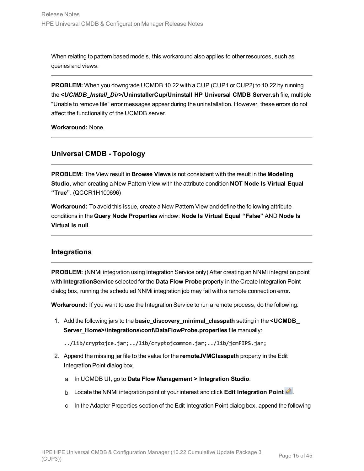When relating to pattern based models, this workaround also applies to other resources, such as queries and views.

**PROBLEM:** When you downgrade UCMDB 10.22 with a CUP (CUP1 or CUP2) to 10.22 by running the **<***UCMDB\_Install\_Dir***>/UninstallerCup/Uninstall HP Universal CMDB Server.sh** file, multiple "Unable to remove file" error messages appear during the uninstallation. However, these errors do not affect the functionality of the UCMDB server.

**Workaround:** None.

### **Universal CMDB - Topology**

**PROBLEM:** The View result in **Browse Views** is not consistent with the result in the **Modeling Studio**, when creating a New Pattern View with the attribute condition **NOT Node Is Virtual Equal "True"**. (QCCR1H100696)

**Workaround:** To avoid this issue, create a New Pattern View and define the following attribute conditions in the **Query Node Properties** window: **Node Is Virtual Equal "False"** AND **Node Is Virtual Is null**.

### **Integrations**

**PROBLEM:** (NNMi integration using Integration Service only) After creating an NNMi integration point with **IntegrationService** selected for the **Data Flow Probe** property in the Create Integration Point dialog box, running the scheduled NNMi integration job may fail with a remote connection error.

**Workaround:** If you want to use the Integration Service to run a remote process, do the following:

- 1. Add the following jars to the **basic\_discovery\_minimal\_classpath** setting in the **<UCMDB\_ Server\_Home>\integrations\conf\DataFlowProbe.properties** file manually:
	- **../lib/cryptojce.jar;../lib/cryptojcommon.jar;../lib/jcmFIPS.jar;**
- 2. Append the missing jar file to the value for the **remoteJVMClasspath** property in the Edit Integration Point dialog box.
	- a. In UCMDB UI, go to **Data Flow Management > Integration Studio**.
	- b. Locate the NNMi integration point of your interest and click Edit Integration Point
	- c. In the Adapter Properties section of the Edit Integration Point dialog box, append the following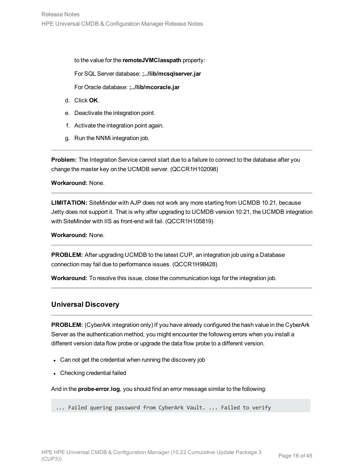to the value for the **remoteJVMClasspath** property:

For SQL Server database: **;../lib/mcsqlserver.jar**

For Oracle database: **;../lib/mcoracle.jar**

- d. Click **OK**.
- e. Deactivate the integration point.
- f. Activate the integration point again.
- g. Run the NNMi integration job.

**Problem:** The Integration Service cannot start due to a failure to connect to the database after you change the master key on the UCMDB server. (QCCR1H102098)

**Workaround:** None.

<span id="page-15-0"></span>**LIMITATION:** SiteMinder with AJP does not work any more starting from UCMDB 10.21, because Jetty does not support it. That is why after upgrading to UCMDB version 10.21, the UCMDB integration with SiteMinder with IIS as front-end will fail. (QCCR1H105819)

**Workaround:** None.

**PROBLEM:** After upgrading UCMDB to the latest CUP, an integration job using a Database connection may fail due to performance issues. (QCCR1H98428)

**Workaround:** To resolve this issue, close the communication logs for the integration job.

### **Universal Discovery**

**PROBLEM:** (CyberArk integration only) If you have already configured the hash value in the CyberArk Server as the authentication method, you might encounter the following errors when you install a different version data flow probe or upgrade the data flow probe to a different version.

- Can not get the credential when running the discovery job
- Checking credential failed

And in the **probe-error.log**, you should find an error message similar to the following:

... Failed quering password from CyberArk Vault. ... Failed to verify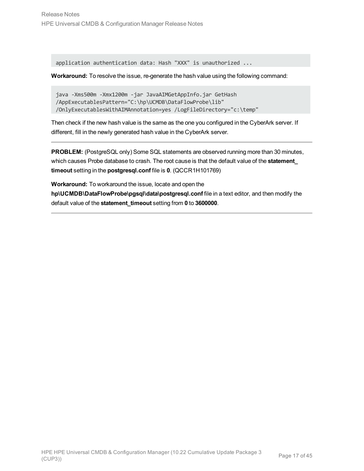application authentication data: Hash "XXX" is unauthorized ...

**Workaround:** To resolve the issue, re-generate the hash value using the following command:

```
java -Xms500m -Xmx1200m -jar JavaAIMGetAppInfo.jar GetHash
/AppExecutablesPattern="C:\hp\UCMDB\DataFlowProbe\lib"
/OnlyExecutablesWithAIMAnnotation=yes /LogFileDirectory="c:\temp"
```
Then check if the new hash value is the same as the one you configured in the CyberArk server. If different, fill in the newly generated hash value in the CyberArk server.

**PROBLEM:** (PostgreSQL only) Some SQL statements are observed running more than 30 minutes, which causes Probe database to crash. The root cause is that the default value of the **statement\_ timeout** setting in the **postgresql.conf** file is **0**. (QCCR1H101769)

**Workaround:** To workaround the issue, locate and open the **hp\UCMDB\DataFlowProbe\pgsql\data\postgresql.conf** file in a text editor, and then modify the default value of the **statement\_timeout** setting from **0** to **3600000**.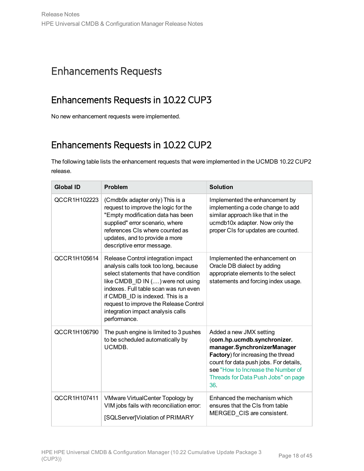# <span id="page-17-1"></span><span id="page-17-0"></span>Enhancements Requests

## Enhancements Requests in 10.22 CUP3

<span id="page-17-2"></span>No new enhancement requests were implemented.

## Enhancements Requests in 10.22 CUP2

The following table lists the enhancement requests that were implemented in the UCMDB 10.22 CUP2 release.

| <b>Global ID</b> | Problem                                                                                                                                                                                                                                                                                                                               | <b>Solution</b>                                                                                                                                                                                                                                           |
|------------------|---------------------------------------------------------------------------------------------------------------------------------------------------------------------------------------------------------------------------------------------------------------------------------------------------------------------------------------|-----------------------------------------------------------------------------------------------------------------------------------------------------------------------------------------------------------------------------------------------------------|
| QCCR1H102223     | (Cmdb9x adapter only) This is a<br>request to improve the logic for the<br>"Empty modification data has been<br>supplied" error scenario, where<br>references CIs where counted as<br>updates, and to provide a more<br>descriptive error message.                                                                                    | Implemented the enhancement by<br>implementing a code change to add<br>similar approach like that in the<br>ucmdb10x adapter. Now only the<br>proper CIs for updates are counted.                                                                         |
| QCCR1H105614     | Release Control integration impact<br>analysis calls took too long, because<br>select statements that have condition<br>like CMDB_ID IN () were not using<br>indexes. Full table scan was run even<br>if CMDB ID is indexed. This is a<br>request to improve the Release Control<br>integration impact analysis calls<br>performance. | Implemented the enhancement on<br>Oracle DB dialect by adding<br>appropriate elements to the select<br>statements and forcing index usage.                                                                                                                |
| QCCR1H106790     | The push engine is limited to 3 pushes<br>to be scheduled automatically by<br>UCMDB.                                                                                                                                                                                                                                                  | Added a new JMX setting<br>(com.hp.ucmdb.synchronizer.<br>manager.SynchronizerManager<br>Factory) for increasing the thread<br>count for data push jobs. For details,<br>see "How to Increase the Number of<br>Threads for Data Push Jobs" on page<br>36. |
| QCCR1H107411     | VMware VirtualCenter Topology by<br>VIM jobs fails with reconciliation error:<br>[SQLServer]Violation of PRIMARY                                                                                                                                                                                                                      | Enhanced the mechanism which<br>ensures that the CIs from table<br>MERGED CIS are consistent.                                                                                                                                                             |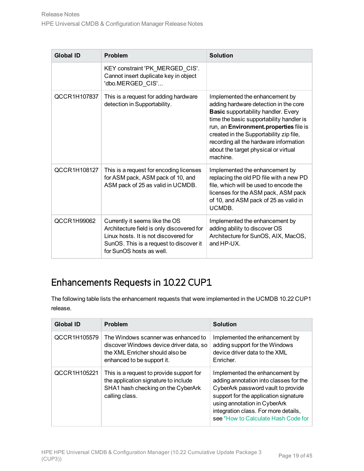| <b>Global ID</b> | Problem                                                                                                                                                                                     | <b>Solution</b>                                                                                                                                                                                                                                                                                                                                      |
|------------------|---------------------------------------------------------------------------------------------------------------------------------------------------------------------------------------------|------------------------------------------------------------------------------------------------------------------------------------------------------------------------------------------------------------------------------------------------------------------------------------------------------------------------------------------------------|
|                  | KEY constraint 'PK_MERGED_CIS'.<br>Cannot insert duplicate key in object<br>'dbo.MERGED_CIS'                                                                                                |                                                                                                                                                                                                                                                                                                                                                      |
| QCCR1H107837     | This is a request for adding hardware<br>detection in Supportability.                                                                                                                       | Implemented the enhancement by<br>adding hardware detection in the core<br><b>Basic supportability handler. Every</b><br>time the basic supportability handler is<br>run, an Environment.properties file is<br>created in the Supportability zip file,<br>recording all the hardware information<br>about the target physical or virtual<br>machine. |
| QCCR1H108127     | This is a request for encoding licenses<br>for ASM pack, ASM pack of 10, and<br>ASM pack of 25 as valid in UCMDB.                                                                           | Implemented the enhancement by<br>replacing the old PD file with a new PD<br>file, which will be used to encode the<br>licenses for the ASM pack, ASM pack<br>of 10, and ASM pack of 25 as valid in<br>UCMDB.                                                                                                                                        |
| QCCR1H99062      | Currently it seems like the OS<br>Architecture field is only discovered for<br>Linux hosts. It is not discovered for<br>SunOS. This is a request to discover it<br>for SunOS hosts as well. | Implemented the enhancement by<br>adding ability to discover OS<br>Architecture for SunOS, AIX, MacOS,<br>and HP-UX.                                                                                                                                                                                                                                 |

## <span id="page-18-0"></span>Enhancements Requests in 10.22 CUP1

The following table lists the enhancement requests that were implemented in the UCMDB 10.22 CUP1 release.

| <b>Global ID</b> | Problem                                                                                                                                         | <b>Solution</b>                                                                                                                                                                                                                                                        |
|------------------|-------------------------------------------------------------------------------------------------------------------------------------------------|------------------------------------------------------------------------------------------------------------------------------------------------------------------------------------------------------------------------------------------------------------------------|
| QCCR1H105579     | The Windows scanner was enhanced to<br>discover Windows device driver data, so<br>the XML Enricher should also be<br>enhanced to be support it. | Implemented the enhancement by<br>adding support for the Windows<br>device driver data to the XML<br>Enricher.                                                                                                                                                         |
| QCCR1H105221     | This is a request to provide support for<br>the application signature to include<br>SHA1 hash checking on the CyberArk<br>calling class.        | Implemented the enhancement by<br>adding annotation into classes for the<br>CyberArk password vault to provide<br>support for the application signature<br>using annotation in CyberArk<br>integration class. For more details,<br>see "How to Calculate Hash Code for |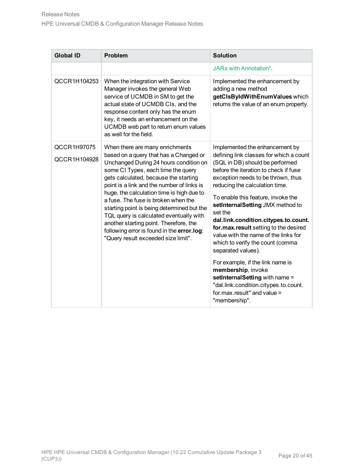| <b>Global ID</b>            | <b>Problem</b>                                                                                                                                                                                                                                                                                                                                                                                                                                                                                                                                               | <b>Solution</b>                                                                                                                                                                                                                                                                                                                                                                                                                                                                                                                                                                                                                                                                              |
|-----------------------------|--------------------------------------------------------------------------------------------------------------------------------------------------------------------------------------------------------------------------------------------------------------------------------------------------------------------------------------------------------------------------------------------------------------------------------------------------------------------------------------------------------------------------------------------------------------|----------------------------------------------------------------------------------------------------------------------------------------------------------------------------------------------------------------------------------------------------------------------------------------------------------------------------------------------------------------------------------------------------------------------------------------------------------------------------------------------------------------------------------------------------------------------------------------------------------------------------------------------------------------------------------------------|
|                             |                                                                                                                                                                                                                                                                                                                                                                                                                                                                                                                                                              | <b>JARs with Annotation"</b> .                                                                                                                                                                                                                                                                                                                                                                                                                                                                                                                                                                                                                                                               |
| QCCR1H104253                | When the integration with Service<br>Manager invokes the general Web<br>service of UCMDB in SM to get the<br>actual state of UCMDB CIs, and the<br>response content only has the enum<br>key, it needs an enhancement on the<br>UCMDB web part to return enum values<br>as well for the field.                                                                                                                                                                                                                                                               | Implemented the enhancement by<br>adding a new method<br>getCIsByIdWithEnumValues which<br>returns the value of an enum property.                                                                                                                                                                                                                                                                                                                                                                                                                                                                                                                                                            |
| QCCR1H97075<br>QCCR1H104928 | When there are many enrichments<br>based on a query that has a Changed or<br>Unchanged During 24 hours condition on<br>some CI Types, each time the query<br>gets calculated, because the starting<br>point is a link and the number of links is<br>huge, the calculation time is high due to<br>a fuse. The fuse is broken when the<br>starting point is being determined but the<br>TQL query is calculated eventually with<br>another starting point. Therefore, the<br>following error is found in the error.log:<br>"Query result exceeded size limit". | Implemented the enhancement by<br>defining link classes for which a count<br>(SQL in DB) should be performed<br>before the iteration to check if fuse<br>exception needs to be thrown, thus<br>reducing the calculation time.<br>To enable this feature, invoke the<br>setInternalSetting JMX method to<br>set the<br>dal.link.condition.citypes.to.count.<br>for.max.result setting to the desired<br>value with the name of the links for<br>which to verify the count (comma<br>separated values).<br>For example, if the link name is<br>membership, invoke<br>setInternalSetting with name =<br>"dal.link.condition.citypes.to.count.<br>for $max$ result" and value =<br>"membership". |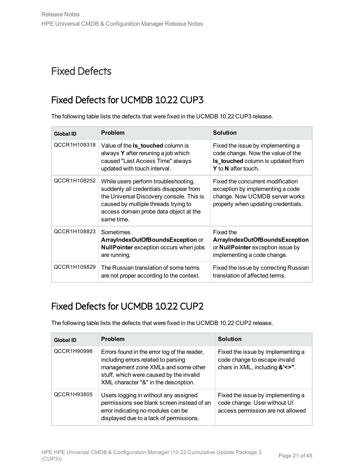# <span id="page-20-1"></span><span id="page-20-0"></span>Fixed Defects

## Fixed Defects for UCMDB 10.22 CUP3

The following table lists the defects that were fixed in the UCMDB 10.22 CUP3 release.

| <b>Global ID</b> | <b>Problem</b>                                                                                                                                                                                                              | <b>Solution</b>                                                                                                                                         |
|------------------|-----------------------------------------------------------------------------------------------------------------------------------------------------------------------------------------------------------------------------|---------------------------------------------------------------------------------------------------------------------------------------------------------|
| QCCR1H109318     | Value of the <b>Is_touched</b> column is<br>always Y after reruning a job which<br>caused "Last Access Time" always<br>updated with touch interval.                                                                         | Fixed the issue by implementing a<br>code change. Now the value of the<br><b>Is_touched</b> column is updated from<br><b>Y</b> to <b>N</b> after touch. |
| QCCR1H108252     | While users perform troubleshooting,<br>suddenly all credentials disappear from<br>the Universal Discovery console. This is<br>caused by multiple threads trying to<br>access domain probe data object at the<br>same time. | Fixed the concurrent modification<br>exception by implementing a code<br>change. Now UCMDB server works<br>properly when updating credentials.          |
| QCCR1H108823     | Sometimes<br>ArrayIndexOutOfBoundsException or<br><b>NullPointer</b> exception occurs when jobs<br>are running.                                                                                                             | Fixed the<br>ArrayIndexOutOfBoundsException<br>or <b>NullPointer</b> exception issue by<br>implementing a code change.                                  |
| QCCR1H109829     | The Russian translation of some terms<br>are not proper according to the context.                                                                                                                                           | Fixed the issue by correcting Russian<br>translation of affected terms.                                                                                 |

## <span id="page-20-2"></span>Fixed Defects for UCMDB 10.22 CUP2

The following table lists the defects that were fixed in the UCMDB 10.22 CUP2 release.

| <b>Global ID</b> | <b>Problem</b>                                                                                                                                                                                                 | <b>Solution</b>                                                                                        |
|------------------|----------------------------------------------------------------------------------------------------------------------------------------------------------------------------------------------------------------|--------------------------------------------------------------------------------------------------------|
| QCCR1H90996      | Errors found in the error log of the reader,<br>including errors related to parsing<br>management zone XMLs and some other<br>stuff, which were caused by the invalid<br>XML character "&" in the description. | Fixed the issue by implementing a<br>code change to escape invalid<br>chars in XML, including &'<>".   |
| QCCR1H93805      | Users logging in without any assigned<br>permissions see blank screen instead of an<br>error indicating no modules can be<br>displayed due to a lack of permissions.                                           | Fixed the issue by implementing a<br>code change. User without UI<br>access permission are not allowed |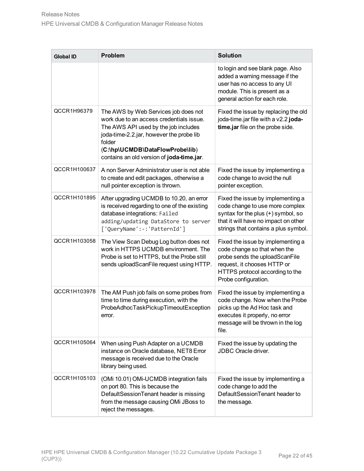| <b>Global ID</b> | <b>Problem</b>                                                                                                                                                                                                                                                 | <b>Solution</b>                                                                                                                                                                               |
|------------------|----------------------------------------------------------------------------------------------------------------------------------------------------------------------------------------------------------------------------------------------------------------|-----------------------------------------------------------------------------------------------------------------------------------------------------------------------------------------------|
|                  |                                                                                                                                                                                                                                                                | to login and see blank page. Also<br>added a warning message if the<br>user has no access to any UI<br>module. This is present as a<br>general action for each role.                          |
| QCCR1H96379      | The AWS by Web Services job does not<br>work due to an access credentials issue.<br>The AWS API used by the job includes<br>joda-time-2.2.jar, however the probe lib<br>folder<br>(C:\hp\UCMDB\DataFlowProbe\lib)<br>contains an old version of joda-time.jar. | Fixed the issue by replacing the old<br>joda-time.jar file with a v2.2 joda-<br>time.jar file on the probe side.                                                                              |
| QCCR1H100637     | A non Server Administrator user is not able<br>to create and edit packages, otherwise a<br>null pointer exception is thrown.                                                                                                                                   | Fixed the issue by implementing a<br>code change to avoid the null<br>pointer exception.                                                                                                      |
| QCCR1H101895     | After upgrading UCMDB to 10.20, an error<br>is received regarding to one of the existing<br>database integrations: Failed<br>adding/updating DataStore to server<br>['QueryName':-:'PatternId']                                                                | Fixed the issue by implementing a<br>code change to use more complex<br>syntax for the plus (+) symbol, so<br>that it will have no impact on other<br>strings that contains a plus symbol.    |
| QCCR1H103058     | The View Scan Debug Log button does not<br>work in HTTPS UCMDB environment. The<br>Probe is set to HTTPS, but the Probe still<br>sends uploadScanFile request using HTTP.                                                                                      | Fixed the issue by implementing a<br>code change so that when the<br>probe sends the uploadScanFile<br>request, it chooses HTTP or<br>HTTPS protocol according to the<br>Probe configuration. |
| QCCR1H103978     | The AM Push job fails on some probes from<br>time to time during execution, with the<br>ProbeAdhocTaskPickupTimeoutException<br>error.                                                                                                                         | Fixed the issue by implementing a<br>code change. Now when the Probe<br>picks up the Ad Hoc task and<br>executes it properly, no error<br>message will be thrown in the log<br>file.          |
| QCCR1H105064     | When using Push Adapter on a UCMDB<br>instance on Oracle database, NET8 Error<br>message is received due to the Oracle<br>library being used.                                                                                                                  | Fixed the issue by updating the<br>JDBC Oracle driver.                                                                                                                                        |
| QCCR1H105103     | (OMi 10.01) OMi-UCMDB integration fails<br>on port 80. This is because the<br>DefaultSessionTenant header is missing<br>from the message causing OMi JBoss to<br>reject the messages.                                                                          | Fixed the issue by implementing a<br>code change to add the<br>DefaultSessionTenant header to<br>the message.                                                                                 |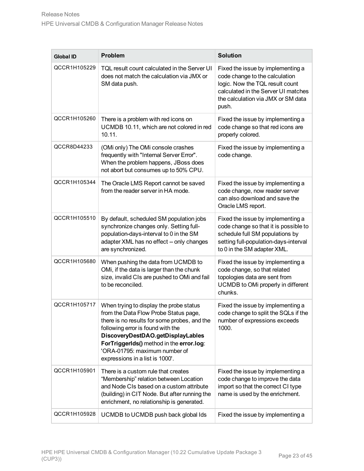| <b>Global ID</b> | <b>Problem</b>                                                                                                                                                                                                                                                                                                             | <b>Solution</b>                                                                                                                                                                              |
|------------------|----------------------------------------------------------------------------------------------------------------------------------------------------------------------------------------------------------------------------------------------------------------------------------------------------------------------------|----------------------------------------------------------------------------------------------------------------------------------------------------------------------------------------------|
| QCCR1H105229     | TQL result count calculated in the Server UI<br>does not match the calculation via JMX or<br>SM data push.                                                                                                                                                                                                                 | Fixed the issue by implementing a<br>code change to the calculation<br>logic. Now the TQL result count<br>calculated in the Server UI matches<br>the calculation via JMX or SM data<br>push. |
| QCCR1H105260     | There is a problem with red icons on<br>UCMDB 10.11, which are not colored in red<br>10.11.                                                                                                                                                                                                                                | Fixed the issue by implementing a<br>code change so that red icons are<br>properly colored.                                                                                                  |
| QCCR8D44233      | (OMi only) The OMi console crashes<br>frequently with "Internal Server Error".<br>When the problem happens, JBoss does<br>not abort but consumes up to 50% CPU.                                                                                                                                                            | Fixed the issue by implementing a<br>code change.                                                                                                                                            |
| QCCR1H105344     | The Oracle LMS Report cannot be saved<br>from the reader server in HA mode.                                                                                                                                                                                                                                                | Fixed the issue by implementing a<br>code change, now reader server<br>can also download and save the<br>Oracle LMS report.                                                                  |
| QCCR1H105510     | By default, scheduled SM population jobs<br>synchronize changes only. Setting full-<br>population-days-interval to 0 in the SM<br>adapter XML has no effect -- only changes<br>are synchronized.                                                                                                                           | Fixed the issue by implementing a<br>code change so that it is possible to<br>schedule full SM populations by<br>setting full-population-days-interval<br>to 0 in the SM adapter XML.        |
| QCCR1H105680     | When pushing the data from UCMDB to<br>OMi, if the data is larger than the chunk<br>size, invalid CIs are pushed to OMi and fail<br>to be reconciled.                                                                                                                                                                      | Fixed the issue by implementing a<br>code change, so that related<br>topologies data are sent from<br>UCMDB to OMi properly in different<br>chunks.                                          |
| QCCR1H105717     | When trying to display the probe status<br>from the Data Flow Probe Status page,<br>there is no results for some probes, and the<br>following error is found with the<br>DiscoveryDestDAO.getDisplayLables<br>ForTriggerIds() method in the error.log:<br>'ORA-01795: maximum number of<br>expressions in a list is 1000'. | Fixed the issue by implementing a<br>code change to split the SQLs if the<br>number of expressions exceeds<br>1000.                                                                          |
| QCCR1H105901     | There is a custom rule that creates<br>"Membership" relation between Location<br>and Node CIs based on a custom attribute<br>(building) in CIT Node. But after running the<br>enrichment, no relationship is generated.                                                                                                    | Fixed the issue by implementing a<br>code change to improve the data<br>import so that the correct CI type<br>name is used by the enrichment.                                                |
| QCCR1H105928     | UCMDB to UCMDB push back global Ids                                                                                                                                                                                                                                                                                        | Fixed the issue by implementing a                                                                                                                                                            |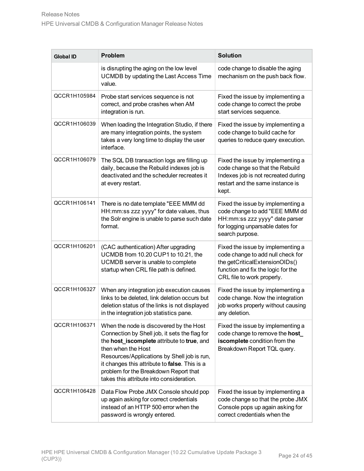| <b>Global ID</b> | <b>Problem</b>                                                                                                                                                                                                                                                                                                                                    | <b>Solution</b>                                                                                                                                                              |
|------------------|---------------------------------------------------------------------------------------------------------------------------------------------------------------------------------------------------------------------------------------------------------------------------------------------------------------------------------------------------|------------------------------------------------------------------------------------------------------------------------------------------------------------------------------|
|                  | is disrupting the aging on the low level<br>UCMDB by updating the Last Access Time<br>value.                                                                                                                                                                                                                                                      | code change to disable the aging<br>mechanism on the push back flow.                                                                                                         |
| QCCR1H105984     | Probe start services sequence is not<br>correct, and probe crashes when AM<br>integration is run.                                                                                                                                                                                                                                                 | Fixed the issue by implementing a<br>code change to correct the probe<br>start services sequence.                                                                            |
| QCCR1H106039     | When loading the Integration Studio, if there<br>are many integration points, the system<br>takes a very long time to display the user<br>interface.                                                                                                                                                                                              | Fixed the issue by implementing a<br>code change to build cache for<br>queries to reduce query execution.                                                                    |
| QCCR1H106079     | The SQL DB transaction logs are filling up<br>daily, because the Rebuild indexes job is<br>deactivated and the scheduler recreates it<br>at every restart.                                                                                                                                                                                        | Fixed the issue by implementing a<br>code change so that the Rebuild<br>Indexes job is not recreated during<br>restart and the same instance is<br>kept.                     |
| QCCR1H106141     | There is no date template "EEE MMM dd<br>HH:mm:ss zzz yyyy" for date values, thus<br>the Solr engine is unable to parse such date<br>format.                                                                                                                                                                                                      | Fixed the issue by implementing a<br>code change to add "EEE MMM dd<br>HH:mm:ss zzz yyyy" date parser<br>for logging unparsable dates for<br>search purpose.                 |
| QCCR1H106201     | (CAC authentication) After upgrading<br>UCMDB from 10.20 CUP1 to 10.21, the<br>UCMDB server is unable to complete<br>startup when CRL file path is defined.                                                                                                                                                                                       | Fixed the issue by implementing a<br>code change to add null check for<br>the getCriticalExtensionOIDs()<br>function and fix the logic for the<br>CRL file to work properly. |
| QCCR1H106327     | When any integration job execution causes<br>links to be deleted, link deletion occurs but<br>deletion status of the links is not displayed<br>in the integration job statistics pane.                                                                                                                                                            | Fixed the issue by implementing a<br>code change. Now the integration<br>job works properly without causing<br>any deletion.                                                 |
| QCCR1H106371     | When the node is discovered by the Host<br>Connection by Shell job, it sets the flag for<br>the host_iscomplete attribute to true, and<br>then when the Host<br>Resources/Applications by Shell job is run,<br>it changes this attribute to false. This is a<br>problem for the Breakdown Report that<br>takes this attribute into consideration. | Fixed the issue by implementing a<br>code change to remove the host_<br>iscomplete condition from the<br>Breakdown Report TQL query.                                         |
| QCCR1H106428     | Data Flow Probe JMX Console should pop<br>up again asking for correct credentials<br>instead of an HTTP 500 error when the<br>password is wrongly entered.                                                                                                                                                                                        | Fixed the issue by implementing a<br>code change so that the probe JMX<br>Console pops up again asking for<br>correct credentials when the                                   |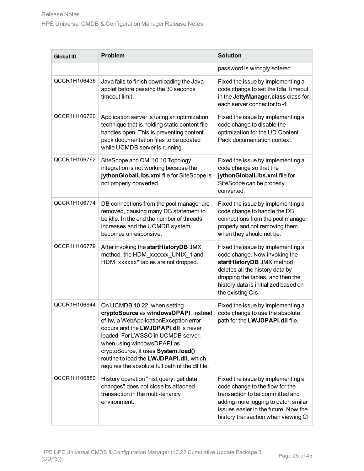| <b>Global ID</b> | <b>Problem</b>                                                                                                                                                                                                                                                                                                                                                     | <b>Solution</b>                                                                                                                                                                                                                      |
|------------------|--------------------------------------------------------------------------------------------------------------------------------------------------------------------------------------------------------------------------------------------------------------------------------------------------------------------------------------------------------------------|--------------------------------------------------------------------------------------------------------------------------------------------------------------------------------------------------------------------------------------|
|                  |                                                                                                                                                                                                                                                                                                                                                                    | password is wrongly entered.                                                                                                                                                                                                         |
| QCCR1H106436     | Java fails to finish downloading the Java<br>applet before passing the 30 seconds<br>timeout limit.                                                                                                                                                                                                                                                                | Fixed the issue by implementing a<br>code change to set the Idle Timeout<br>in the JettyManager.class class for<br>each server connector to -1.                                                                                      |
| QCCR1H106760     | Application server is using an optimization<br>technique that is holding static content file<br>handles open. This is preventing content<br>pack documentation files to be updated<br>while UCMDB server is running.                                                                                                                                               | Fixed the issue by implementing a<br>code change to disable the<br>optimization for the UD Content<br>Pack documentation context.                                                                                                    |
| QCCR1H106762     | SiteScope and OMi 10.10 Topology<br>integration is not working because the<br>jythonGlobalLibs.xml file for SiteScope is<br>not properly converted.                                                                                                                                                                                                                | Fixed the issue by implementing a<br>code change so that the<br>jythonGlobalLibs.xml file for<br>SiteScope can be properly<br>converted.                                                                                             |
| QCCR1H106774     | DB connections from the pool manager are<br>removed, causing many DB statement to<br>be idle. In the end the number of threads<br>increases and the UCMDB system<br>becomes unresponsive.                                                                                                                                                                          | Fixed the issue by implementing a<br>code change to handle the DB<br>connections from the pool manager<br>properly and not removing them<br>when they should not be.                                                                 |
| QCCR1H106779     | After invoking the startHistoryDB JMX<br>method, the HDM_xxxxxx_UNIX_1 and<br>HDM_xxxxxx* tables are not dropped.                                                                                                                                                                                                                                                  | Fixed the issue by implementing a<br>code change. Now invoking the<br>startHistoryDB JMX method<br>deletes all the history data by<br>dropping the tables, and then the<br>history data is initialized based on<br>the existing CIs. |
| QCCR1H106844     | On UCMDB 10.22, when setting<br>cryptoSource as windowsDPAPI, instead<br>of Iw, a WebApplicationException error<br>occurs and the LWJDPAPI.dll is never<br>loaded. For LWSSO in UCMDB server,<br>when using windows DPAPI as<br>cryptoSource, it uses System.load()<br>routine to load the LWJDPAPI.dll, which<br>requires the absolute full path of the dll file. | Fixed the issue by implementing a<br>code change to use the absolute<br>path for the LWJDPAPI.dll file.                                                                                                                              |
| QCCR1H106880     | History operation "hist query: get data<br>changes" does not close its attached<br>transaction in the multi-tenancy<br>environment.                                                                                                                                                                                                                                | Fixed the issue by implementing a<br>code change to the flow for the<br>transaction to be committed and<br>adding more logging to catch smilar<br>issues easier in the future. Now the<br>history transaction when viewing CI        |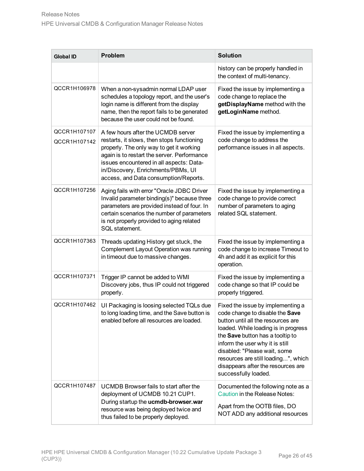| <b>Global ID</b>             | <b>Problem</b>                                                                                                                                                                                                                                                                                         | <b>Solution</b>                                                                                                                                                                                                                                                                                                                                                |  |
|------------------------------|--------------------------------------------------------------------------------------------------------------------------------------------------------------------------------------------------------------------------------------------------------------------------------------------------------|----------------------------------------------------------------------------------------------------------------------------------------------------------------------------------------------------------------------------------------------------------------------------------------------------------------------------------------------------------------|--|
|                              |                                                                                                                                                                                                                                                                                                        | history can be properly handled in<br>the context of multi-tenancy.                                                                                                                                                                                                                                                                                            |  |
| QCCR1H106978                 | When a non-sysadmin normal LDAP user<br>schedules a topology report, and the user's<br>login name is different from the display<br>name, then the report fails to be generated<br>because the user could not be found.                                                                                 | Fixed the issue by implementing a<br>code change to replace the<br>getDisplayName method with the<br>getLoginName method.                                                                                                                                                                                                                                      |  |
| QCCR1H107107<br>QCCR1H107142 | A few hours after the UCMDB server<br>restarts, it slows, then stops functioning<br>properly. The only way to get it working<br>again is to restart the server. Performance<br>issues encountered in all aspects: Data-<br>in/Discovery, Enrichments/PBMs, UI<br>access, and Data consumption/Reports. | Fixed the issue by implementing a<br>code change to address the<br>performance issues in all aspects.                                                                                                                                                                                                                                                          |  |
| QCCR1H107256                 | Aging fails with error "Oracle JDBC Driver<br>Invalid parameter binding(s)" because three<br>parameters are provided instead of four. In<br>certain scenarios the number of parameters<br>is not properly provided to aging related<br>SQL statement.                                                  | Fixed the issue by implementing a<br>code change to provide correct<br>number of parameters to aging<br>related SQL statement.                                                                                                                                                                                                                                 |  |
| QCCR1H107363                 | Threads updating History get stuck, the<br>Complement Layout Operation was running<br>in timeout due to massive changes.                                                                                                                                                                               | Fixed the issue by implementing a<br>code change to increase Timeout to<br>4h and add it as explicit for this<br>operation.                                                                                                                                                                                                                                    |  |
| QCCR1H107371                 | Trigger IP cannot be added to WMI<br>Discovery jobs, thus IP could not triggered<br>properly.                                                                                                                                                                                                          | Fixed the issue by implementing a<br>code change so that IP could be<br>properly triggered.                                                                                                                                                                                                                                                                    |  |
| QCCR1H107462                 | UI Packaging is loosing selected TQLs due<br>to long loading time, and the Save button is<br>enabled before all resources are loaded.                                                                                                                                                                  | Fixed the issue by implementing a<br>code change to disable the Save<br>button until all the resources are<br>loaded. While loading is in progress<br>the Save button has a tooltip to<br>inform the user why it is still<br>disabled: "Please wait, some<br>resources are still loading", which<br>disappears after the resources are<br>successfully loaded. |  |
| QCCR1H107487                 | UCMDB Browser fails to start after the<br>deployment of UCMDB 10.21 CUP1.<br>During startup the ucmdb-browser.war<br>resource was being deployed twice and<br>thus failed to be properly deployed.                                                                                                     | Documented the following note as a<br>Caution in the Release Notes:<br>Apart from the OOTB files, DO<br>NOT ADD any additional resources                                                                                                                                                                                                                       |  |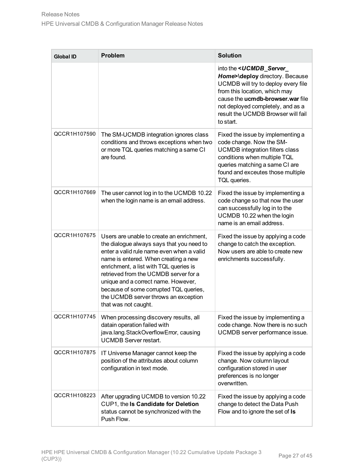| <b>Global ID</b> | <b>Problem</b>                                                                                                                                                                                                                                                                                                                                                                                                  | <b>Solution</b>                                                                                                                                                                                                                                                                            |
|------------------|-----------------------------------------------------------------------------------------------------------------------------------------------------------------------------------------------------------------------------------------------------------------------------------------------------------------------------------------------------------------------------------------------------------------|--------------------------------------------------------------------------------------------------------------------------------------------------------------------------------------------------------------------------------------------------------------------------------------------|
|                  |                                                                                                                                                                                                                                                                                                                                                                                                                 | into the <ucmdb_server_<br>Home&gt;\deploy directory. Because<br/>UCMDB will try to deploy every file<br/>from this location, which may<br/>cause the ucmdb-browser.war file<br/>not deployed completely, and as a<br/>result the UCMDB Browser will fail<br/>to start.</ucmdb_server_<br> |
| QCCR1H107590     | The SM-UCMDB integration ignores class<br>conditions and throws exceptions when two<br>or more TQL queries matching a same CI<br>are found.                                                                                                                                                                                                                                                                     | Fixed the issue by implementing a<br>code change. Now the SM-<br><b>UCMDB</b> integration filters class<br>conditions when multiple TQL<br>queries matching a same CI are<br>found and exceutes those multiple<br>TQL queries.                                                             |
| QCCR1H107669     | The user cannot log in to the UCMDB 10.22<br>when the login name is an email address.                                                                                                                                                                                                                                                                                                                           | Fixed the issue by implementing a<br>code change so that now the user<br>can successfully log in to the<br>UCMDB 10.22 when the login<br>name is an email address.                                                                                                                         |
| QCCR1H107675     | Users are unable to create an enrichment,<br>the dialogue always says that you need to<br>enter a valid rule name even when a valid<br>name is entered. When creating a new<br>enrichment, a list with TQL queries is<br>retrieved from the UCMDB server for a<br>unique and a correct name. However,<br>because of some corrupted TQL queries,<br>the UCMDB server throws an exception<br>that was not caught. | Fixed the issue by applying a code<br>change to catch the exception.<br>Now users are able to create new<br>enrichments successfully.                                                                                                                                                      |
| QCCR1H107745     | When processing discovery results, all<br>datain operation failed with<br>java.lang.StackOverflowError, causing<br><b>UCMDB Server restart.</b>                                                                                                                                                                                                                                                                 | Fixed the issue by implementing a<br>code change. Now there is no such<br>UCMDB server performance issue.                                                                                                                                                                                  |
| QCCR1H107875     | IT Universe Manager cannot keep the<br>position of the attributes about column<br>configuration in text mode.                                                                                                                                                                                                                                                                                                   | Fixed the issue by applying a code<br>change. Now column layout<br>configuration stored in user<br>preferences is no longer<br>overwritten.                                                                                                                                                |
| QCCR1H108223     | After upgrading UCMDB to version 10.22<br>CUP1, the Is Candidate for Deletion<br>status cannot be synchronized with the<br>Push Flow.                                                                                                                                                                                                                                                                           | Fixed the issue by applying a code<br>change to detect the Data Push<br>Flow and to ignore the set of Is                                                                                                                                                                                   |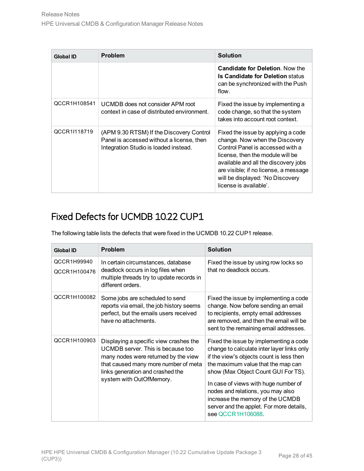| <b>Global ID</b> | <b>Problem</b>                                                                                                                 | <b>Solution</b>                                                                                                                                                                                                                                                                             |  |
|------------------|--------------------------------------------------------------------------------------------------------------------------------|---------------------------------------------------------------------------------------------------------------------------------------------------------------------------------------------------------------------------------------------------------------------------------------------|--|
|                  |                                                                                                                                | <b>Candidate for Deletion. Now the</b><br><b>Is Candidate for Deletion status</b><br>can be synchronized with the Push<br>flow.                                                                                                                                                             |  |
| QCCR1H108541     | UCMDB does not consider APM root<br>context in case of distributed environment.                                                | Fixed the issue by implementing a<br>code change, so that the system<br>takes into account root context.                                                                                                                                                                                    |  |
| QCCR1I118719     | (APM 9.30 RTSM) If the Discovery Control<br>Panel is accessed without a license, then<br>Integration Studio is loaded instead. | Fixed the issue by applying a code<br>change. Now when the Discovery<br>Control Panel is accessed with a<br>license, then the module will be<br>available and all the discovery jobs<br>are visible; if no license, a message<br>will be displayed: 'No Discovery<br>license is available'. |  |

## <span id="page-27-0"></span>Fixed Defects for UCMDB 10.22 CUP1

The following table lists the defects that were fixed in the UCMDB 10.22 CUP1 release.

| <b>Global ID</b>            | <b>Problem</b>                                                                                                                                                                                                              | <b>Solution</b>                                                                                                                                                                                                                                                                                                                                                                                 |  |
|-----------------------------|-----------------------------------------------------------------------------------------------------------------------------------------------------------------------------------------------------------------------------|-------------------------------------------------------------------------------------------------------------------------------------------------------------------------------------------------------------------------------------------------------------------------------------------------------------------------------------------------------------------------------------------------|--|
| QCCR1H99940<br>QCCR1H100476 | In certain circumstances, database<br>deadlock occurs in log files when<br>multiple threads try to update records in<br>different orders.                                                                                   | Fixed the issue by using row locks so<br>that no deadlock occurs.                                                                                                                                                                                                                                                                                                                               |  |
| QCCR1H100082                | Some jobs are scheduled to send<br>reports via email, the job history seems<br>perfect, but the emails users received<br>have no attachments.                                                                               | Fixed the issue by implementing a code<br>change. Now before sending an email<br>to recipients, empty email addresses<br>are removed, and then the email will be<br>sent to the remaining email addresses.                                                                                                                                                                                      |  |
| QCCR1H100903                | Displaying a specific view crashes the<br>UCMDB server. This is because too<br>many nodes were returned by the view<br>that caused many more number of meta<br>links generation and crashed the<br>system with OutOfMemory. | Fixed the issue by implementing a code<br>change to calculate inter layer links only<br>if the view's objects count is less then<br>the maximum value that the map can<br>show (Max Object Count GUI For TS).<br>In case of views with huge number of<br>nodes and relations, you may also<br>increase the memory of the UCMDB<br>server and the applet. For more details,<br>see QCCR1H106088. |  |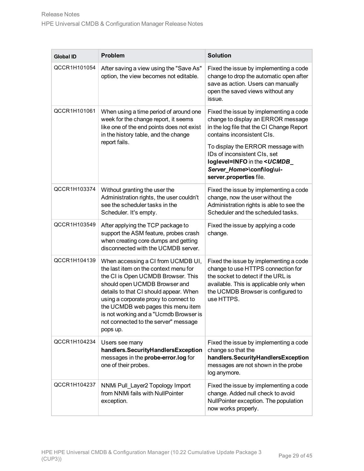| <b>Global ID</b> | <b>Problem</b>                                                                                                                                                                                                                                                                                                                                                            | <b>Solution</b>                                                                                                                                                                                                                                                                                                                    |  |
|------------------|---------------------------------------------------------------------------------------------------------------------------------------------------------------------------------------------------------------------------------------------------------------------------------------------------------------------------------------------------------------------------|------------------------------------------------------------------------------------------------------------------------------------------------------------------------------------------------------------------------------------------------------------------------------------------------------------------------------------|--|
| QCCR1H101054     | After saving a view using the "Save As"<br>option, the view becomes not editable.                                                                                                                                                                                                                                                                                         | Fixed the issue by implementing a code<br>change to drop the automatic open after<br>save as action. Users can manually<br>open the saved views without any<br>issue.                                                                                                                                                              |  |
| QCCR1H101061     | When using a time period of around one<br>week for the change report, it seems<br>like one of the end points does not exist<br>in the history table, and the change<br>report fails.                                                                                                                                                                                      | Fixed the issue by implementing a code<br>change to display an ERROR message<br>in the log file that the CI Change Report<br>contains inconsistent CIs.<br>To display the ERROR message with<br>IDs of inconsistent CIs, set<br>loglevel=INFO in the <ucmdb<br>Server Home&gt;\conf\log\ui-<br/>server.properties file.</ucmdb<br> |  |
| QCCR1H103374     | Without granting the user the<br>Administration rights, the user couldn't<br>see the scheduler tasks in the<br>Scheduler. It's empty.                                                                                                                                                                                                                                     | Fixed the issue by implementing a code<br>change, now the user without the<br>Administration rights is able to see the<br>Scheduler and the scheduled tasks.                                                                                                                                                                       |  |
| QCCR1H103549     | After applying the TCP package to<br>support the ASM feature, probes crash<br>when creating core dumps and getting<br>disconnected with the UCMDB server.                                                                                                                                                                                                                 | Fixed the issue by applying a code<br>change.                                                                                                                                                                                                                                                                                      |  |
| QCCR1H104139     | When accessing a CI from UCMDB UI,<br>the last item on the context menu for<br>the CI is Open UCMDB Browser. This<br>should open UCMDB Browser and<br>details to that CI should appear. When<br>using a corporate proxy to connect to<br>the UCMDB web pages this menu item<br>is not working and a "Ucmdb Browser is<br>not connected to the server" message<br>pops up. | Fixed the issue by implementing a code<br>change to use HTTPS connection for<br>the socket to detect if the URL is<br>available. This is applicable only when<br>the UCMDB Browser is configured to<br>use HTTPS.                                                                                                                  |  |
| QCCR1H104234     | Users see many<br>handlers.SecurityHandlersException<br>messages in the probe-error.log for<br>one of their probes.                                                                                                                                                                                                                                                       | Fixed the issue by implementing a code<br>change so that the<br>handlers.SecurityHandlersException<br>messages are not shown in the probe<br>log anymore.                                                                                                                                                                          |  |
| QCCR1H104237     | NNMi Pull Layer2 Topology Import<br>from NNMi fails with NullPointer<br>exception.                                                                                                                                                                                                                                                                                        | Fixed the issue by implementing a code<br>change. Added null check to avoid<br>NullPointer exception. The population<br>now works properly.                                                                                                                                                                                        |  |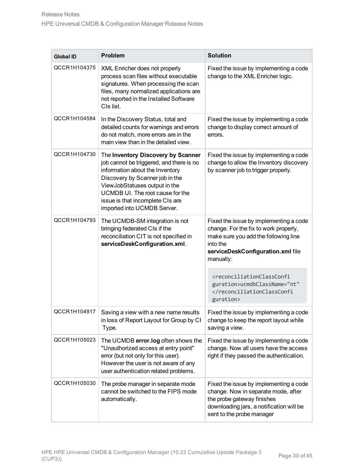| <b>Global ID</b> | Problem                                                                                                                                                                                                                                                                                      | <b>Solution</b>                                                                                                                                                                       |  |  |
|------------------|----------------------------------------------------------------------------------------------------------------------------------------------------------------------------------------------------------------------------------------------------------------------------------------------|---------------------------------------------------------------------------------------------------------------------------------------------------------------------------------------|--|--|
| QCCR1H104375     | XML Enricher does not properly<br>process scan files without executable<br>signatures. When processing the scan<br>files, many normalized applications are<br>not reported in the Installed Software<br>CIs list.                                                                            | Fixed the issue by implementing a code<br>change to the XML Enricher logic.                                                                                                           |  |  |
| QCCR1H104584     | In the Discovery Status, total and<br>detailed counts for warnings and errors<br>do not match, more errors are in the<br>main view than in the detailed view.                                                                                                                                | Fixed the issue by implementing a code<br>change to display correct amount of<br>errors.                                                                                              |  |  |
| QCCR1H104730     | The Inventory Discovery by Scanner<br>job cannot be triggered, and there is no<br>information about the Inventory<br>Discovery by Scanner job in the<br>ViewJobStatuses output in the<br>UCMDB UI. The root cause for the<br>issue is that incomplete CIs are<br>imported into UCMDB Server. | Fixed the issue by implementing a code<br>change to allow the Inventory discovery<br>by scanner job to trigger properly.                                                              |  |  |
| QCCR1H104793     | The UCMDB-SM integration is not<br>bringing federated CIs if the<br>reconciliation CIT is not specified in<br>serviceDeskConfiguration.xml.                                                                                                                                                  | Fixed the issue by implementing a code<br>change. For the fix to work properly,<br>make sure you add the following line<br>into the<br>serviceDeskConfiguration.xml file<br>manually: |  |  |
|                  |                                                                                                                                                                                                                                                                                              | <reconciliationclassconfi<br>guration&gt;ucmdbClassName="nt"<br/></reconciliationclassconfi<br> guration>                                                                             |  |  |
| QCCR1H104917     | Saving a view with a new name results<br>in loss of Report Layout for Group by CI<br>Type.                                                                                                                                                                                                   | Fixed the issue by implementing a code<br>change to keep the report layout while<br>saving a view.                                                                                    |  |  |
| QCCR1H105023     | The UCMDB error.log often shows the<br>"Unauthorized access at entry point"<br>error (but not only for this user).<br>However the user is not aware of any<br>user authentication related problems.                                                                                          | Fixed the issue by implementing a code<br>change. Now all users have the access<br>right if they passed the authentication.                                                           |  |  |
| QCCR1H105030     | The probe manager in separate mode<br>cannot be switched to the FIPS mode<br>automatically.                                                                                                                                                                                                  | Fixed the issue by implementing a code<br>change. Now in separate mode, after<br>the probe gateway finishes<br>downloading jars, a notification will be<br>sent to the probe manager  |  |  |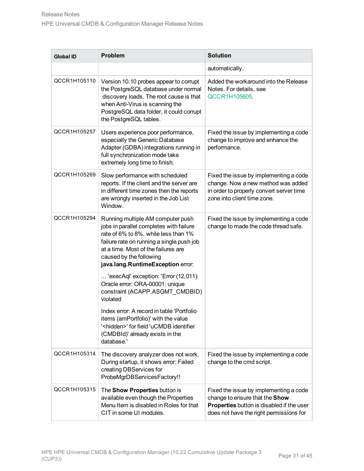| <b>Global ID</b> | <b>Problem</b>                                                                                                                                                                                                                                                           | <b>Solution</b>                                                                                                                                                  |  |
|------------------|--------------------------------------------------------------------------------------------------------------------------------------------------------------------------------------------------------------------------------------------------------------------------|------------------------------------------------------------------------------------------------------------------------------------------------------------------|--|
|                  |                                                                                                                                                                                                                                                                          | automatically.                                                                                                                                                   |  |
| QCCR1H105110     | Version 10.10 probes appear to corrupt<br>the PostgreSQL database under normal<br>discovery loads. The root cause is that<br>when Anti-Virus is scanning the<br>PostgreSQL data folder, it could corrupt<br>the PostgreSQL tables.                                       | Added the workaround into the Release<br>Notes. For details, see<br>QCCR1H105605.                                                                                |  |
| QCCR1H105257     | Users experience poor performance,<br>especially the Generic Database<br>Adapter (GDBA) integrations running in<br>full synchronization mode take<br>extremely long time to finish.                                                                                      | Fixed the issue by implementing a code<br>change to improve and enhance the<br>performance.                                                                      |  |
| QCCR1H105269     | Slow performance with scheduled<br>reports. If the client and the server are<br>in different time zones then the reports<br>are wrongly inserted in the Job List<br>Window.                                                                                              | Fixed the issue by implementing a code<br>change. Now a new method was added<br>in order to properly convert server time<br>zone into client time zone.          |  |
| QCCR1H105294     | Running multiple AM computer push<br>jobs in parallel completes with failure<br>rate of 6% to 8%, while less than 1%<br>failure rate on running a single push job<br>at a time. Most of the failures are<br>caused by the following<br>java.lang.RuntimeException error: | Fixed the issue by implementing a code<br>change to made the code thread safe.                                                                                   |  |
|                  | 'execAql' exception: 'Error (12,011):<br>Oracle error: ORA-00001: unique<br>constraint (ACAPP.ASGMT_CMDBID)<br>violated                                                                                                                                                  |                                                                                                                                                                  |  |
|                  | Index error: A record in table 'Portfolio<br>items (amPortfolio)' with the value<br>' <hidden>' for field 'uCMDB identifier<br/>(CMDBId)' already exists in the<br/>database.'</hidden>                                                                                  |                                                                                                                                                                  |  |
| QCCR1H105314     | The discovery analyzer does not work.<br>During startup, it shows error: Failed<br>creating DBServices for<br>ProbeMgrDBServicesFactory!!                                                                                                                                | Fixed the issue by implementing a code<br>change to the cmd script.                                                                                              |  |
| QCCR1H105315     | The Show Properties button is<br>available even though the Properties<br>Menu Item is disabled in Roles for that<br>CIT in some UI modules.                                                                                                                              | Fixed the issue by implementing a code<br>change to ensure that the Show<br>Properties button is disabled if the user<br>does not have the right permissions for |  |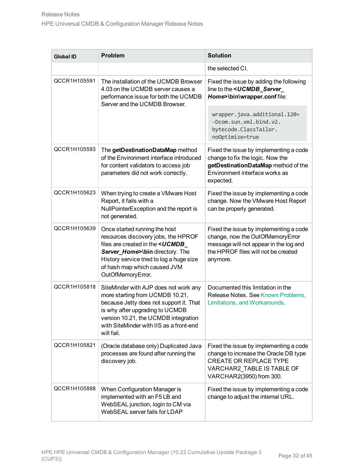| <b>Global ID</b> | <b>Problem</b>                                                                                                                                                                                                                                               | <b>Solution</b>                                                                                                                                                            |  |  |
|------------------|--------------------------------------------------------------------------------------------------------------------------------------------------------------------------------------------------------------------------------------------------------------|----------------------------------------------------------------------------------------------------------------------------------------------------------------------------|--|--|
|                  |                                                                                                                                                                                                                                                              | the selected CI.                                                                                                                                                           |  |  |
| QCCR1H105591     | The installation of the UCMDB Browser<br>4.03 on the UCMDB server causes a<br>performance issue for both the UCMDB<br>Server and the UCMDB Browser.                                                                                                          | Fixed the issue by adding the following<br>line to the <ucmdb server<br="">Home&gt;\bin\wrapper.conf file:</ucmdb>                                                         |  |  |
|                  |                                                                                                                                                                                                                                                              | wrapper.java.additional.120=<br>-Dcom.sun.xml.bind.v2.<br>bytecode.ClassTailor.<br>noOptimize=true                                                                         |  |  |
| QCCR1H105593     | The getDestinationDataMap method<br>of the Environment interface introduced<br>for content validators to access job<br>parameters did not work correctly.                                                                                                    | Fixed the issue by implementing a code<br>change to fix the logic. Now the<br>getDestinationDataMap method of the<br>Environment interface works as<br>expected.           |  |  |
| QCCR1H105623     | When trying to create a VMware Host<br>Report, it fails with a<br>NullPointerException and the report is<br>not generated.                                                                                                                                   | Fixed the issue by implementing a code<br>change. Now the VMware Host Report<br>can be properly generated.                                                                 |  |  |
| QCCR1H105639     | Once started running the host<br>resources discovery jobs, the HPROF<br>files are created in the <ucmdb<br>Server_Home&gt;\bin directory. The<br/>History service tried to log a huge size<br/>of hash map which caused JVM<br/>OutOfMemoryError.</ucmdb<br> | Fixed the issue by implementing a code<br>change, now the OutOfMemoryError<br>message will not appear in the log and<br>the HPROF files will not be created<br>anymore.    |  |  |
| QCCR1H105818     | SiteMinder with AJP does not work any<br>more starting from UCMDB 10.21,<br>because Jetty does not support it. That<br>is why after upgrading to UCMDB<br>version 10.21, the UCMDB integration<br>with SiteMinder with IIS as a front-end<br>will fail.      | Documented this limitation in the<br>Release Notes. See Known Problems.<br>Limitations, and Workarounds.                                                                   |  |  |
| QCCR1H105821     | (Oracle database only) Duplicated Java<br>processes are found after running the<br>discovery job.                                                                                                                                                            | Fixed the issue by implementing a code<br>change to increase the Oracle DB type<br><b>CREATE OR REPLACE TYPE</b><br>VARCHAR2 TABLE IS TABLE OF<br>VARCHAR2(3950) from 300. |  |  |
| QCCR1H105888     | When Configuration Manager is<br>implemented with an F5 LB and<br>WebSEAL junction, login to CM via<br>WebSEAL server fails for LDAP                                                                                                                         | Fixed the issue by implementing a code<br>change to adjust the internal URL.                                                                                               |  |  |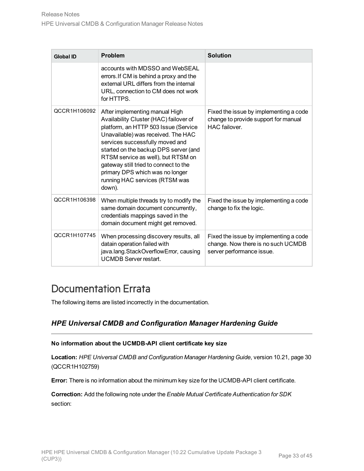| <b>Global ID</b> | <b>Problem</b>                                                                                                                                                                                                                                                                                                                                                                                   | <b>Solution</b>                                                                                           |  |
|------------------|--------------------------------------------------------------------------------------------------------------------------------------------------------------------------------------------------------------------------------------------------------------------------------------------------------------------------------------------------------------------------------------------------|-----------------------------------------------------------------------------------------------------------|--|
|                  | accounts with MDSSO and WebSEAL<br>errors. If CM is behind a proxy and the<br>external URL differs from the internal<br>URL, connection to CM does not work<br>for HTTPS                                                                                                                                                                                                                         |                                                                                                           |  |
| QCCR1H106092     | After implementing manual High<br>Availability Cluster (HAC) failover of<br>platform, an HTTP 503 Issue (Service<br>Unavailable) was received. The HAC<br>services successfully moved and<br>started on the backup DPS server (and<br>RTSM service as well), but RTSM on<br>gateway still tried to connect to the<br>primary DPS which was no longer<br>running HAC services (RTSM was<br>down). | Fixed the issue by implementing a code<br>change to provide support for manual<br>HAC failover.           |  |
| QCCR1H106398     | When multiple threads try to modify the<br>same domain document concurrently,<br>credentials mappings saved in the<br>domain document might get removed.                                                                                                                                                                                                                                         | Fixed the issue by implementing a code<br>change to fix the logic.                                        |  |
| QCCR1H107745     | When processing discovery results, all<br>datain operation failed with<br>java.lang.StackOverflowError, causing<br><b>UCMDB Server restart.</b>                                                                                                                                                                                                                                                  | Fixed the issue by implementing a code<br>change. Now there is no such UCMDB<br>server performance issue. |  |

## <span id="page-32-0"></span>Documentation Errata

The following items are listed incorrectly in the documentation.

### *HPE Universal CMDB and Configuration Manager Hardening Guide*

#### **No information about the UCMDB-API client certificate key size**

**Location:** *HPE Universal CMDB and Configuration Manager Hardening Guide*, version 10.21, page 30 (QCCR1H102759)

**Error:** There is no information about the minimum key size for the UCMDB-API client certificate.

**Correction:** Add the following note under the *Enable Mutual Certificate Authentication for SDK* section: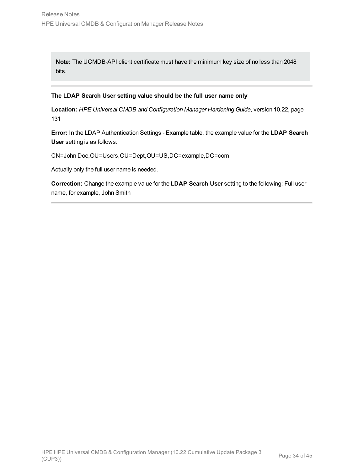**Note:** The UCMDB-API client certificate must have the minimum key size of no less than 2048 bits.

#### **The LDAP Search User setting value should be the full user name only**

**Location:** *HPE Universal CMDB and Configuration Manager Hardening Guide*, version 10.22, page 131

**Error:** In the LDAP Authentication Settings - Example table, the example value for the **LDAP Search User** setting is as follows:

CN=John Doe,OU=Users,OU=Dept,OU=US,DC=example,DC=com

Actually only the full user name is needed.

**Correction:** Change the example value for the **LDAP Search User** setting to the following: Full user name, for example, John Smith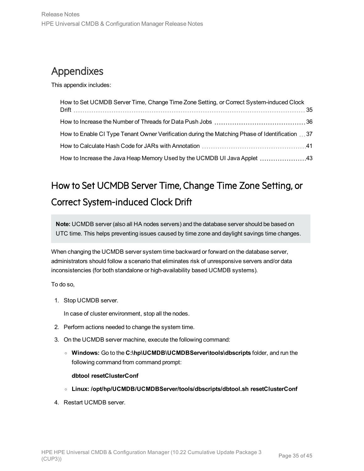# <span id="page-34-0"></span>Appendixes

This appendix includes:

| How to Set UCMDB Server Time, Change Time Zone Setting, or Correct System-induced Clock         |  |
|-------------------------------------------------------------------------------------------------|--|
|                                                                                                 |  |
| How to Enable CI Type Tenant Owner Verification during the Matching Phase of Identification  37 |  |
|                                                                                                 |  |
| How to Increase the Java Heap Memory Used by the UCMDB UI Java Applet 43                        |  |

# <span id="page-34-1"></span>How to Set UCMDB Server Time, Change Time Zone Setting, or Correct System-induced Clock Drift

**Note:** UCMDB server (also all HA nodes servers) and the database server should be based on UTC time. This helps preventing issues caused by time zone and daylight savings time changes.

When changing the UCMDB server system time backward or forward on the database server, administrators should follow a scenario that eliminates risk of unresponsive servers and/or data inconsistencies (for both standalone or high-availability based UCMDB systems).

To do so,

1. Stop UCMDB server.

In case of cluster environment, stop all the nodes.

- 2. Perform actions needed to change the system time.
- 3. On the UCMDB server machine, execute the following command:
	- <sup>o</sup> **Windows:** Go to the **C:\hp\UCMDB\UCMDBServer\tools\dbscripts** folder, and run the following command from command prompt:

#### **dbtool resetClusterConf**

- <sup>o</sup> **Linux: /opt/hp/UCMDB/UCMDBServer/tools/dbscripts/dbtool.sh resetClusterConf**
- 4. Restart UCMDB server.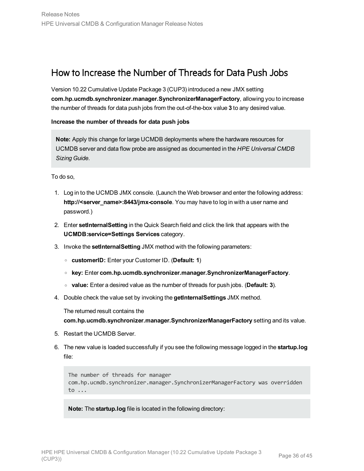## <span id="page-35-0"></span>How to Increase the Number of Threads for Data Push Jobs

Version 10.22 Cumulative Update Package 3 (CUP3) introduced a new JMX setting **com.hp.ucmdb.synchronizer.manager.SynchronizerManagerFactory**, allowing you to increase the number of threads for data push jobs from the out-of-the-box value **3** to any desired value.

**Increase the number of threads for data push jobs**

**Note:** Apply this change for large UCMDB deployments where the hardware resources for UCMDB server and data flow probe are assigned as documented in the *HPE Universal CMDB Sizing Guide*.

To do so,

- 1. Log in to the UCMDB JMX console. (Launch the Web browser and enter the following address: **http://<server\_name>:8443/jmx-console**. You may have to log in with a user name and password.)
- 2. Enter **setInternalSetting** in the Quick Search field and click the link that appears with the **UCMDB:service=Settings Services** category.
- 3. Invoke the **setInternalSetting** JMX method with the following parameters:
	- <sup>o</sup> **customerID:** Enter your Customer ID. (**Default: 1**)
	- <sup>o</sup> **key:** Enter **com.hp.ucmdb.synchronizer.manager.SynchronizerManagerFactory**.
	- <sup>o</sup> **value:** Enter a desired value as the number of threads for push jobs. (**Default: 3**).
- 4. Double check the value set by invoking the **getInternalSettings** JMX method.

The returned result contains the

**com.hp.ucmdb.synchronizer.manager.SynchronizerManagerFactory** setting and its value.

- 5. Restart the UCMDB Server.
- 6. The new value is loaded successfully if you see the following message logged in the **startup.log** file:

The number of threads for manager com.hp.ucmdb.synchronizer.manager.SynchronizerManagerFactory was overridden to ...

**Note:** The **startup.log** file is located in the following directory: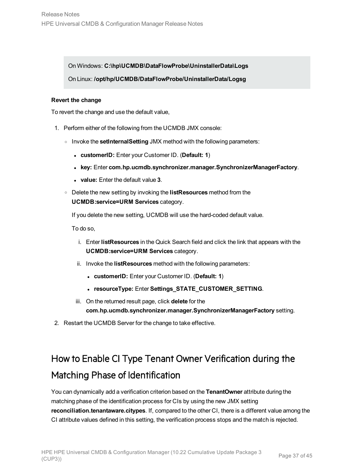On Windows: **C:\hp\UCMDB\DataFlowProbe\UninstallerData\Logs**

On Linux: **/opt/hp/UCMDB/DataFlowProbe/UninstallerData/Logsg**

#### **Revert the change**

To revert the change and use the default value,

- 1. Perform either of the following from the UCMDB JMX console:
	- <sup>o</sup> Invoke the **setInternalSetting** JMX method with the following parameters:
		- <sup>l</sup> **customerID:** Enter your Customer ID. (**Default: 1**)
		- <sup>l</sup> **key:** Enter **com.hp.ucmdb.synchronizer.manager.SynchronizerManagerFactory**.
		- <sup>l</sup> **value:** Enter the default value **3**.
	- <sup>o</sup> Delete the new setting by invoking the **listResources** method from the **UCMDB:service=URM Services** category.

If you delete the new setting, UCMDB will use the hard-coded default value.

To do so,

- i. Enter **listResources** in the Quick Search field and click the link that appears with the **UCMDB:service=URM Services** category.
- ii. Invoke the **listResources** method with the following parameters:
	- <sup>l</sup> **customerID:** Enter your Customer ID. (**Default: 1**)
	- **. resourceType: Enter Settings\_STATE\_CUSTOMER\_SETTING.**
- iii. On the returned result page, click **delete** for the **com.hp.ucmdb.synchronizer.manager.SynchronizerManagerFactory** setting.
- <span id="page-36-0"></span>2. Restart the UCMDB Server for the change to take effective.

# How to Enable CI Type Tenant Owner Verification during the Matching Phase of Identification

You can dynamically add a verification criterion based on the **TenantOwner** attribute during the matching phase of the identification process for CIs by using the new JMX setting **reconciliation.tenantaware.citypes**. If, compared to the other CI, there is a different value among the CI attribute values defined in this setting, the verification process stops and the match is rejected.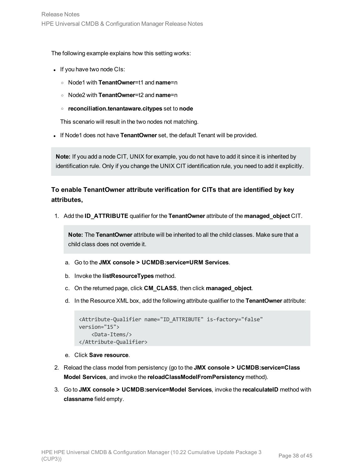The following example explains how this setting works:

- If you have two node CIs:
	- <sup>o</sup> Node1 with **TenantOwner**=t1 and **name**=n
	- <sup>o</sup> Node2 with **TenantOwner**=t2 and **name**=n
	- <sup>o</sup> **reconciliation.tenantaware.citypes** set to **node**

This scenario will result in the two nodes not matching.

. If Node1 does not have **TenantOwner** set, the default Tenant will be provided.

**Note:** If you add a node CIT, UNIX for example, you do not have to add it since it is inherited by identification rule. Only if you change the UNIX CIT identification rule, you need to add it explicitly.

### **To enable TenantOwner attribute verification for CITs that are identified by key attributes,**

1. Add the **ID\_ATTRIBUTE** qualifier for the **TenantOwner** attribute of the **managed\_object** CIT.

**Note:** The **TenantOwner** attribute will be inherited to all the child classes. Make sure that a child class does not override it.

- a. Go to the **JMX console > UCMDB:service=URM Services**.
- b. Invoke the **listResourceTypes** method.
- c. On the returned page, click **CM\_CLASS**, then click **managed\_object**.
- d. In the Resource XML box, add the following attribute qualifier to the **TenantOwner** attribute:

```
<Attribute-Qualifier name="ID_ATTRIBUTE" is-factory="false"
version="15">
    <Data-Items/>
</Attribute-Qualifier>
```
- e. Click **Save resource**.
- 2. Reload the class model from persistency (go to the **JMX console > UCMDB:service=Class Model Services**, and invoke the **reloadClassModelFromPersistency** method).
- 3. Go to **JMX console > UCMDB:service=Model Services**, invoke the **recalculateID** method with **classname** field empty.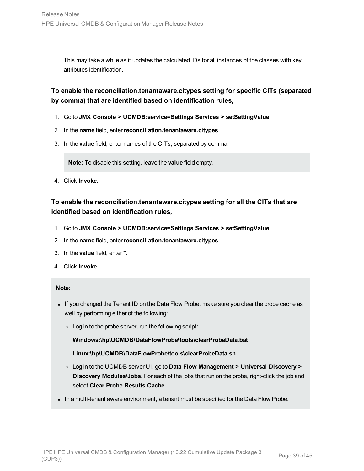This may take a while as it updates the calculated IDs for all instances of the classes with key attributes identification.

### **To enable the reconciliation.tenantaware.citypes setting for specific CITs (separated by comma) that are identified based on identification rules,**

- 1. Go to **JMX Console > UCMDB:service=Settings Services > setSettingValue**.
- 2. In the **name** field, enter**reconciliation.tenantaware.citypes**.
- 3. In the **value** field, enter names of the CITs, separated by comma.

**Note:** To disable this setting, leave the **value** field empty.

4. Click **Invoke**.

### **To enable the reconciliation.tenantaware.citypes setting for all the CITs that are identified based on identification rules,**

- 1. Go to **JMX Console > UCMDB:service=Settings Services > setSettingValue**.
- 2. In the **name** field, enter**reconciliation.tenantaware.citypes**.
- 3. In the **value** field, enter**\***.
- 4. Click **Invoke**.

#### **Note:**

- If you changed the Tenant ID on the Data Flow Probe, make sure you clear the probe cache as well by performing either of the following:
	- $\circ$  Log in to the probe server, run the following script:

**Windows:\hp\UCMDB\DataFlowProbe\tools\clearProbeData.bat**

#### **Linux:\hp\UCMDB\DataFlowProbe\tools\clearProbeData.sh**

- <sup>o</sup> Log in to the UCMDB server UI, go to **Data Flow Management > Universal Discovery > Discovery Modules/Jobs**. For each of the jobs that run on the probe, right-click the job and select **Clear Probe Results Cache**.
- In a multi-tenant aware environment, a tenant must be specified for the Data Flow Probe.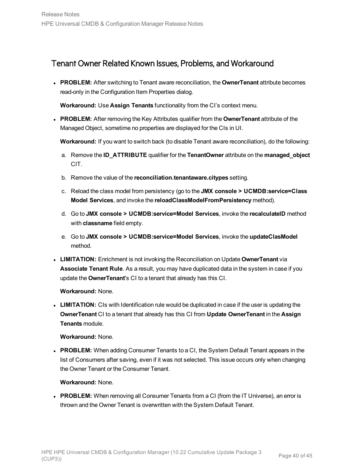### <span id="page-39-0"></span>Tenant Owner Related Known Issues, Problems, and Workaround

**PROBLEM:** After switching to Tenant aware reconciliation, the **OwnerTenant** attribute becomes read-only in the Configuration Item Properties dialog.

**Workaround:** Use **Assign Tenants** functionality from the CI's context menu.

**PROBLEM:** After removing the Key Attributes qualifier from the **OwnerTenant** attribute of the Managed Object, sometime no properties are displayed for the CIs in UI.

**Workaround:** If you want to switch back (to disable Tenant aware reconciliation), do the following:

- a. Remove the **ID\_ATTRIBUTE** qualifier for the **TenantOwner** attribute on the **managed\_object** CIT.
- b. Remove the value of the **reconciliation.tenantaware.citypes** setting.
- c. Reload the class model from persistency (go to the **JMX console > UCMDB:service=Class Model Services**, and invoke the **reloadClassModelFromPersistency** method).
- d. Go to **JMX console > UCMDB:service=Model Services**, invoke the **recalculateID** method with **classname** field empty.
- e. Go to **JMX console > UCMDB:service=Model Services**, invoke the **updateClasModel** method.
- **LIMITATION:** Enrichment is not invoking the Reconciliation on Update OwnerTenant via **Associate Tenant Rule**. As a result, you may have duplicated data in the system in case if you update the **OwnerTenant**'s CI to a tenant that already has this CI.

**Workaround:** None.

• LIMITATION: CIs with Identification rule would be duplicated in case if the user is updating the **OwnerTenant** CI to a tenant that already has this CI from **Update OwnerTenant** in the **Assign Tenants** module.

**Workaround:** None.

**PROBLEM:** When adding Consumer Tenants to a CI, the System Default Tenant appears in the list of Consumers after saving, even if it was not selected. This issue occurs only when changing the Owner Tenant or the Consumer Tenant.

#### **Workaround:** None.

**PROBLEM:** When removing all Consumer Tenants from a CI (from the IT Universe), an error is thrown and the Owner Tenant is overwritten with the System Default Tenant.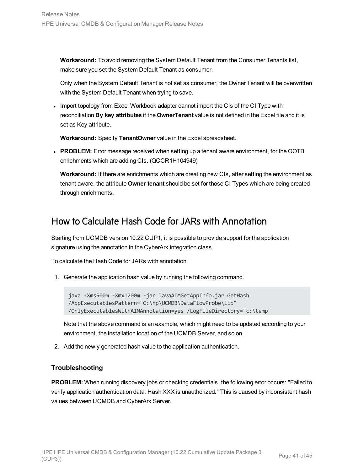**Workaround:** To avoid removing the System Default Tenant from the Consumer Tenants list, make sure you set the System Default Tenant as consumer.

Only when the System Default Tenant is not set as consumer, the Owner Tenant will be overwritten with the System Default Tenant when trying to save.

• Import topology from Excel Workbook adapter cannot import the CIs of the CI Type with reconciliation **By key attributes** if the **OwnerTenant** value is not defined in the Excel file and it is set as Key attribute.

**Workaround:** Specify **TenantOwner** value in the Excel spreadsheet.

**PROBLEM:** Error message received when setting up a tenant aware environment, for the OOTB enrichments which are adding CIs. (QCCR1H104949)

**Workaround:** If there are enrichments which are creating new CIs, after setting the environment as tenant aware, the attribute **Owner tenant** should be set for those CI Types which are being created through enrichments.

## <span id="page-40-0"></span>How to Calculate Hash Code for JARs with Annotation

Starting from UCMDB version 10.22 CUP1, it is possible to provide support for the application signature using the annotation in the CyberArk integration class.

To calculate the Hash Code for JARs with annotation,

1. Generate the application hash value by running the following command.

```
java -Xms500m -Xmx1200m -jar JavaAIMGetAppInfo.jar GetHash
/AppExecutablesPattern="C:\hp\UCMDB\DataFlowProbe\lib"
/OnlyExecutablesWithAIMAnnotation=yes /LogFileDirectory="c:\temp"
```
Note that the above command is an example, which might need to be updated according to your environment, the installation location of the UCMDB Server, and so on.

2. Add the newly generated hash value to the application authentication.

#### **Troubleshooting**

**PROBLEM:** When running discovery jobs or checking credentials, the following error occurs: "Failed to verify application authentication data: Hash XXX is unauthorized." This is caused by inconsistent hash values between UCMDB and CyberArk Server.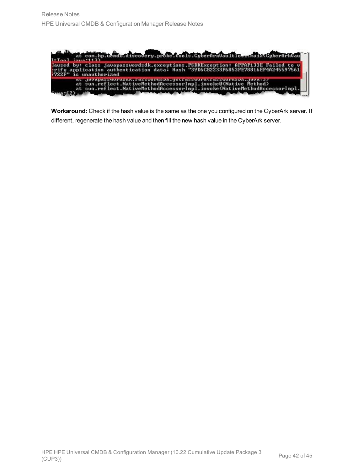

**Workaround:** Check if the hash value is the same as the one you configured on the CyberArk server. If different, regenerate the hash value and then fill the new hash value in the CyberArk server.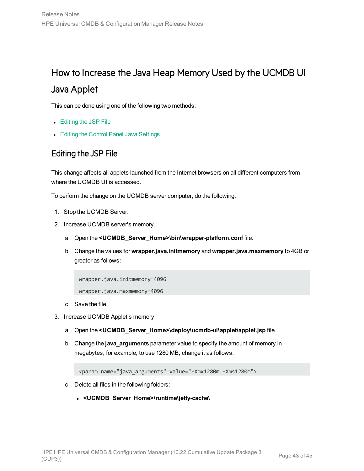# <span id="page-42-0"></span>How to Increase the Java Heap Memory Used by the UCMDB UI Java Applet

This can be done using one of the following two methods:

- [Editing](#page-42-1) the JSP File
- <span id="page-42-1"></span>• Editing the Control Panel Java [Settings](#page-43-0)

### Editing the JSP File

This change affects all applets launched from the Internet browsers on all different computers from where the UCMDB UI is accessed.

To perform the change on the UCMDB server computer, do the following:

- 1. Stop the UCMDB Server.
- 2. Increase UCMDB server's memory.
	- a. Open the **<UCMDB\_Server\_Home>\bin\wrapper-platform.conf** file.
	- b. Change the values for **wrapper.java.initmemory** and **wrapper.java.maxmemory** to 4GB or greater as follows:

wrapper.java.initmemory=4096 wrapper.java.maxmemory=4096

- c. Save the file.
- 3. Increase UCMDB Applet's memory.
	- a. Open the **<UCMDB\_Server\_Home>\deploy\ucmdb-ui\applet\applet.jsp** file.
	- b. Change the **java\_arguments** parameter value to specify the amount of memory in megabytes, for example, to use 1280 MB, change it as follows:

```
<param name="java_arguments" value="-Xmx1280m -Xms1280m">
```
- c. Delete all files in the following folders:
	- <sup>l</sup> **<UCMDB\_Server\_Home>\runtime\jetty-cache\**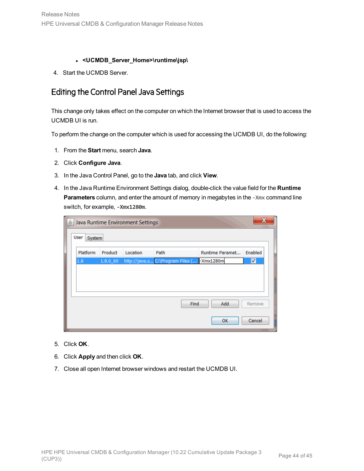- <sup>l</sup> **<UCMDB\_Server\_Home>\runtime\jsp\**
- <span id="page-43-0"></span>4. Start the UCMDB Server.

### Editing the Control Panel Java Settings

This change only takes effect on the computer on which the Internet browser that is used to access the UCMDB UI is run.

To perform the change on the computer which is used for accessing the UCMDB UI, do the following:

- 1. From the **Start** menu, search **Java**.
- 2. Click **Configure Java**.
- 3. In the Java Control Panel, go to the **Java** tab, and click **View**.
- 4. In the Java Runtime Environment Settings dialog, double-click the value field for the **Runtime Parameters** column, and enter the amount of memory in megabytes in the -Xmx command line switch, for example, **-Xmx1280m**.

|                |             | Java Runtime Environment Settings |                                            |                 | $\mathbf x$          |
|----------------|-------------|-----------------------------------|--------------------------------------------|-----------------|----------------------|
| User<br>System |             |                                   |                                            |                 |                      |
| Platform       | Product     | Location                          | Path                                       | Runtime Paramet | Enabled              |
| 1.8            | $1.8.0\_60$ |                                   | http://java.s C:\Program Files ( -Xmx1280m |                 | $\blacktriangledown$ |
|                |             |                                   |                                            |                 |                      |
|                |             |                                   |                                            |                 |                      |
|                |             |                                   |                                            |                 |                      |
|                |             |                                   | Find                                       | Add             | Remove               |
|                |             |                                   |                                            | OK              | Cancel               |

- 5. Click **OK**.
- 6. Click **Apply** and then click **OK**.
- 7. Close all open Internet browser windows and restart the UCMDB UI.